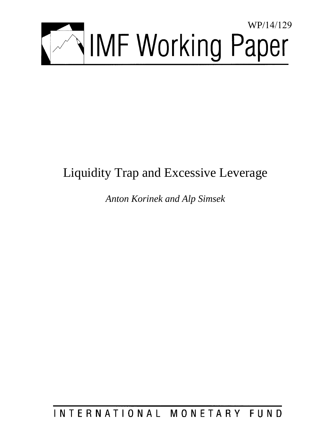

# Liquidity Trap and Excessive Leverage

*Anton Korinek and Alp Simsek* 

INTERNATIONAL MONETARY FUND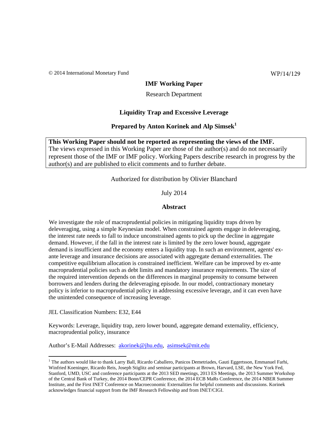© 2014 International Monetary Fund

WP/14/129

#### **IMF Working Paper**

#### Research Department

#### **Liquidity Trap and Excessive Leverage**

### **Prepared by Anton Korinek and Alp Simsek<sup>1</sup>**

**This Working Paper should not be reported as representing the views of the IMF.**  The views expressed in this Working Paper are those of the author(s) and do not necessarily represent those of the IMF or IMF policy. Working Papers describe research in progress by the author(s) and are published to elicit comments and to further debate.

Authorized for distribution by Olivier Blanchard

July 2014

#### **Abstract**

We investigate the role of macroprudential policies in mitigating liquidity traps driven by deleveraging, using a simple Keynesian model. When constrained agents engage in deleveraging, the interest rate needs to fall to induce unconstrained agents to pick up the decline in aggregate demand. However, if the fall in the interest rate is limited by the zero lower bound, aggregate demand is insufficient and the economy enters a liquidity trap. In such an environment, agents' exante leverage and insurance decisions are associated with aggregate demand externalities. The competitive equilibrium allocation is constrained inefficient. Welfare can be improved by ex-ante macroprudential policies such as debt limits and mandatory insurance requirements. The size of the required intervention depends on the differences in marginal propensity to consume between borrowers and lenders during the deleveraging episode. In our model, contractionary monetary policy is inferior to macroprudential policy in addressing excessive leverage, and it can even have the unintended consequence of increasing leverage.

JEL Classification Numbers: E32, E44

Keywords: Leverage, liquidity trap, zero lower bound, aggregate demand externality, efficiency, macroprudential policy, insurance

Author's E-Mail Addresses: akorinek@jhu.edu, asimsek@mit.edu

<sup>&</sup>lt;sup>1</sup> The authors would like to thank Larry Ball, Ricardo Caballero, Panicos Demetriades, Gauti Eggertsson, Emmanuel Farhi, Winfried Koeninger, Ricardo Reis, Joseph Stiglitz and seminar participants at Brown, Harvard, LSE, the New York Fed, Stanford, UMD, USC and conference participants at the 2013 SED meetings, 2013 ES Meetings, the 2013 Summer Workshop of the Central Bank of Turkey, the 2014 Bonn/CEPR Conference, the 2014 ECB MaRs Conference, the 2014 NBER Summer Institute, and the First INET Conference on Macroeconomic Externalities for helpful comments and discussions. Korinek acknowledges financial support from the IMF Research Fellowship and from INET/CIGI.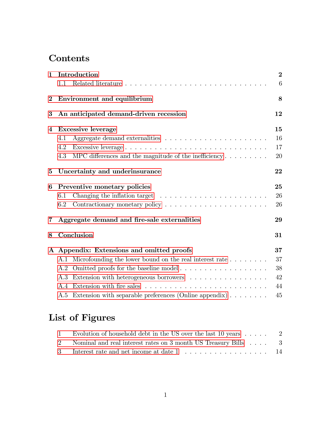## Contents

| $\mathbf{1}$   | Introduction                                                                       | $\overline{2}$ |
|----------------|------------------------------------------------------------------------------------|----------------|
|                | 1.1                                                                                | 6              |
| $\overline{2}$ | Environment and equilibrium                                                        | 8              |
| 3              | An anticipated demand-driven recession                                             | 12             |
| 4              | <b>Excessive leverage</b>                                                          | 15             |
|                | 4.1                                                                                | 16             |
|                | 4.2                                                                                | 17             |
|                | MPC differences and the magnitude of the inefficiency $\dots \dots \dots$<br>4.3   | 20             |
| 5              | Uncertainty and underinsurance                                                     | 22             |
| 6              | Preventive monetary policies                                                       | 25             |
|                | 6.1                                                                                | 26             |
|                | 6.2                                                                                | 26             |
| 7              | Aggregate demand and fire-sale externalities                                       | 29             |
| 8              | Conclusion                                                                         | 31             |
|                | A Appendix: Extensions and omitted proofs                                          | 37             |
|                | Microfounding the lower bound on the real interest rate $\dots \dots$<br>A.1       | 37             |
|                | A.2                                                                                | 38             |
|                | Extension with heterogeneous borrowers $\ldots \ldots \ldots \ldots \ldots$<br>A.3 | 42             |
|                |                                                                                    | 44             |
|                | A.5 Extension with separable preferences (Online appendix) $\dots \dots$           | 45             |
|                |                                                                                    |                |

# List of Figures

| 1 Evolution of household debt in the US over the last 10 years  2 |  |
|-------------------------------------------------------------------|--|
| 2 Nominal and real interest rates on 3 month US Treasury Bills 3  |  |
| 3 Interest rate and net income at date 1 14                       |  |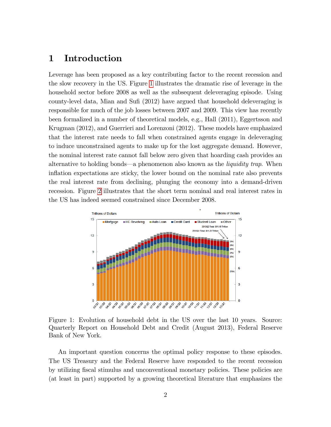### <span id="page-3-0"></span>1 Introduction

Leverage has been proposed as a key contributing factor to the recent recession and the slow recovery in the US. Figure [1](#page-3-1) illustrates the dramatic rise of leverage in the household sector before 2008 as well as the subsequent deleveraging episode. Using county-level data, Mian and Sufi (2012) have argued that household deleveraging is responsible for much of the job losses between 2007 and 2009. This view has recently been formalized in a number of theoretical models, e.g., Hall (2011), Eggertsson and Krugman (2012), and Guerrieri and Lorenzoni (2012). These models have emphasized that the interest rate needs to fall when constrained agents engage in deleveraging to induce unconstrained agents to make up for the lost aggregate demand. However, the nominal interest rate cannot fall below zero given that hoarding cash provides an alternative to holding bonds—a phenomenon also known as the *liquidity trap*. When inflation expectations are sticky, the lower bound on the nominal rate also prevents the real interest rate from declining, plunging the economy into a demand-driven recession. Figure [2](#page-4-0) illustrates that the short term nominal and real interest rates in the US has indeed seemed constrained since December 2008.



<span id="page-3-1"></span>Figure 1: Evolution of household debt in the US over the last 10 years. Source: Quarterly Report on Household Debt and Credit (August 2013), Federal Reserve Bank of New York.

An important question concerns the optimal policy response to these episodes. The US Treasury and the Federal Reserve have responded to the recent recession by utilizing Öscal stimulus and unconventional monetary policies. These policies are (at least in part) supported by a growing theoretical literature that emphasizes the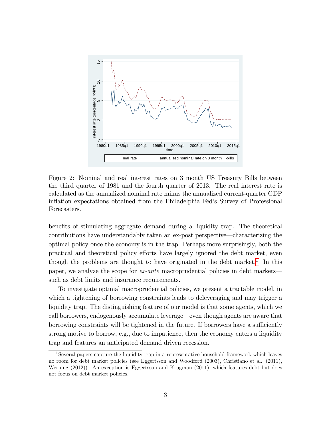

<span id="page-4-0"></span>Figure 2: Nominal and real interest rates on 3 month US Treasury Bills between the third quarter of 1981 and the fourth quarter of 2013. The real interest rate is calculated as the annualized nominal rate minus the annualized current-quarter GDP inflation expectations obtained from the Philadelphia Fed's Survey of Professional Forecasters.

benefits of stimulating aggregate demand during a liquidity trap. The theoretical contributions have understandably taken an ex-post perspective—characterizing the optimal policy once the economy is in the trap. Perhaps more surprisingly, both the practical and theoretical policy efforts have largely ignored the debt market, even though the problems are thought to have originated in the debt market.<sup>[1](#page-4-1)</sup> In this paper, we analyze the scope for  $ex$ -ante macroprudential policies in debt markets such as debt limits and insurance requirements.

To investigate optimal macroprudential policies, we present a tractable model, in which a tightening of borrowing constraints leads to deleveraging and may trigger a liquidity trap. The distinguishing feature of our model is that some agents, which we call borrowers, endogenously accumulate leverage—even though agents are aware that borrowing constraints will be tightened in the future. If borrowers have a sufficiently strong motive to borrow, e.g., due to impatience, then the economy enters a liquidity trap and features an anticipated demand driven recession.

<span id="page-4-1"></span><sup>1</sup>Several papers capture the liquidity trap in a representative household framework which leaves no room for debt market policies (see Eggertsson and Woodford (2003), Christiano et al. (2011), Werning (2012)). An exception is Eggertsson and Krugman (2011), which features debt but does not focus on debt market policies.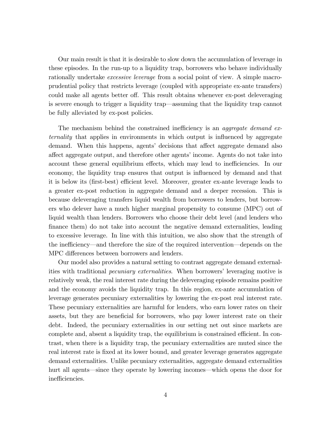Our main result is that it is desirable to slow down the accumulation of leverage in these episodes. In the run-up to a liquidity trap, borrowers who behave individually rationally undertake *excessive leverage* from a social point of view. A simple macroprudential policy that restricts leverage (coupled with appropriate ex-ante transfers) could make all agents better off. This result obtains whenever ex-post deleveraging is severe enough to trigger a liquidity trapó assuming that the liquidity trap cannot be fully alleviated by ex-post policies.

The mechanism behind the constrained inefficiency is an *aggregate demand ex*ternality that applies in environments in which output is influenced by aggregate demand. When this happens, agents' decisions that affect aggregate demand also affect aggregate output, and therefore other agents' income. Agents do not take into account these general equilibrium effects, which may lead to inefficiencies. In our economy, the liquidity trap ensures that output is influenced by demand and that it is below its (first-best) efficient level. Moreover, greater ex-ante leverage leads to a greater ex-post reduction in aggregate demand and a deeper recession. This is because deleveraging transfers liquid wealth from borrowers to lenders, but borrowers who delever have a much higher marginal propensity to consume (MPC) out of liquid wealth than lenders. Borrowers who choose their debt level (and lenders who finance them) do not take into account the negative demand externalities, leading to excessive leverage. In line with this intuition, we also show that the strength of the inefficiency—and therefore the size of the required intervention—depends on the MPC differences between borrowers and lenders.

Our model also provides a natural setting to contrast aggregate demand externalities with traditional *pecuniary externalities*. When borrowers' leveraging motive is relatively weak, the real interest rate during the deleveraging episode remains positive and the economy avoids the liquidity trap. In this region, ex-ante accumulation of leverage generates pecuniary externalities by lowering the ex-post real interest rate. These pecuniary externalities are harmful for lenders, who earn lower rates on their assets, but they are beneficial for borrowers, who pay lower interest rate on their debt. Indeed, the pecuniary externalities in our setting net out since markets are complete and, absent a liquidity trap, the equilibrium is constrained efficient. In contrast, when there is a liquidity trap, the pecuniary externalities are muted since the real interest rate is fixed at its lower bound, and greater leverage generates aggregate demand externalities. Unlike pecuniary externalities, aggregate demand externalities hurt all agents—since they operate by lowering incomes—which opens the door for inefficiencies.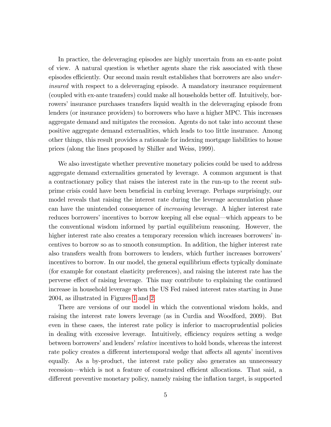In practice, the deleveraging episodes are highly uncertain from an ex-ante point of view. A natural question is whether agents share the risk associated with these episodes efficiently. Our second main result establishes that borrowers are also underinsured with respect to a deleveraging episode. A mandatory insurance requirement (coupled with ex-ante transfers) could make all households better off. Intuitively, borrowers' insurance purchases transfers liquid wealth in the deleveraging episode from lenders (or insurance providers) to borrowers who have a higher MPC. This increases aggregate demand and mitigates the recession. Agents do not take into account these positive aggregate demand externalities, which leads to too little insurance. Among other things, this result provides a rationale for indexing mortgage liabilities to house prices (along the lines proposed by Shiller and Weiss, 1999).

We also investigate whether preventive monetary policies could be used to address aggregate demand externalities generated by leverage. A common argument is that a contractionary policy that raises the interest rate in the run-up to the recent subprime crisis could have been beneficial in curbing leverage. Perhaps surprisingly, our model reveals that raising the interest rate during the leverage accumulation phase can have the unintended consequence of increasing leverage. A higher interest rate reduces borrowers' incentives to borrow keeping all else equal—which appears to be the conventional wisdom informed by partial equilibrium reasoning. However, the higher interest rate also creates a temporary recession which increases borrowers' incentives to borrow so as to smooth consumption. In addition, the higher interest rate also transfers wealth from borrowers to lenders, which further increases borrowers' incentives to borrow. In our model, the general equilibrium effects typically dominate (for example for constant elasticity preferences), and raising the interest rate has the perverse effect of raising leverage. This may contribute to explaining the continued increase in household leverage when the US Fed raised interest rates starting in June 2004, as illustrated in Figures [1](#page-3-1) and [2.](#page-4-0)

There are versions of our model in which the conventional wisdom holds, and raising the interest rate lowers leverage (as in Curdia and Woodford, 2009). But even in these cases, the interest rate policy is inferior to macroprudential policies in dealing with excessive leverage. Intuitively, efficiency requires setting a wedge between borrowers' and lenders' *relative* incentives to hold bonds, whereas the interest rate policy creates a different intertemporal wedge that affects all agents' incentives equally. As a by-product, the interest rate policy also generates an unnecessary recession—which is not a feature of constrained efficient allocations. That said, a different preventive monetary policy, namely raising the inflation target, is supported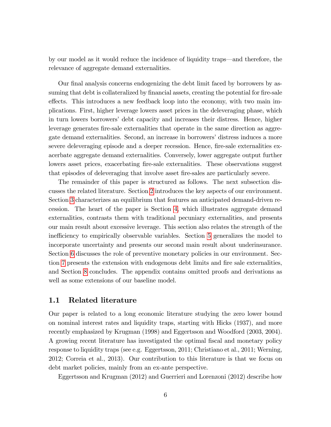by our model as it would reduce the incidence of liquidity traps—and therefore, the relevance of aggregate demand externalities.

Our final analysis concerns endogenizing the debt limit faced by borrowers by assuming that debt is collateralized by financial assets, creating the potential for fire-sale effects. This introduces a new feedback loop into the economy, with two main implications. First, higher leverage lowers asset prices in the deleveraging phase, which in turn lowers borrowersí debt capacity and increases their distress. Hence, higher leverage generates Öre-sale externalities that operate in the same direction as aggregate demand externalities. Second, an increase in borrowers' distress induces a more severe deleveraging episode and a deeper recession. Hence, fire-sale externalities exacerbate aggregate demand externalities. Conversely, lower aggregate output further lowers asset prices, exacerbating fire-sale externalities. These observations suggest that episodes of deleveraging that involve asset Öre-sales are particularly severe.

The remainder of this paper is structured as follows. The next subsection discusses the related literature. Section [2](#page-9-0) introduces the key aspects of our environment. Section [3](#page-13-0) characterizes an equilibrium that features an anticipated demand-driven recession. The heart of the paper is Section [4,](#page-16-0) which illustrates aggregate demand externalities, contrasts them with traditional pecuniary externalities, and presents our main result about excessive leverage. This section also relates the strength of the inefficiency to empirically observable variables. Section [5](#page-23-0) generalizes the model to incorporate uncertainty and presents our second main result about underinsurance. Section [6](#page-26-0) discusses the role of preventive monetary policies in our environment. Sec-tion [7](#page-30-0) presents the extension with endogenous debt limits and fire sale externalities, and Section [8](#page-32-0) concludes. The appendix contains omitted proofs and derivations as well as some extensions of our baseline model.

### <span id="page-7-0"></span>1.1 Related literature

Our paper is related to a long economic literature studying the zero lower bound on nominal interest rates and liquidity traps, starting with Hicks (1937), and more recently emphasized by Krugman (1998) and Eggertsson and Woodford (2003, 2004). A growing recent literature has investigated the optimal Öscal and monetary policy response to liquidity traps (see e.g. Eggertsson, 2011; Christiano et al., 2011; Werning, 2012; Correia et al., 2013). Our contribution to this literature is that we focus on debt market policies, mainly from an ex-ante perspective.

Eggertsson and Krugman (2012) and Guerrieri and Lorenzoni (2012) describe how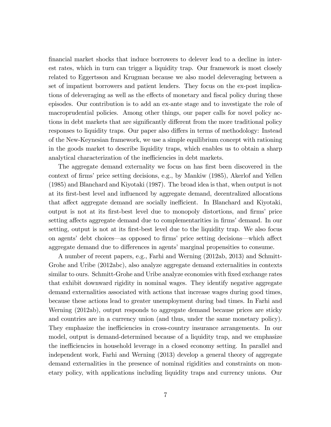Önancial market shocks that induce borrowers to delever lead to a decline in interest rates, which in turn can trigger a liquidity trap. Our framework is most closely related to Eggertsson and Krugman because we also model deleveraging between a set of impatient borrowers and patient lenders. They focus on the ex-post implications of deleveraging as well as the effects of monetary and fiscal policy during these episodes. Our contribution is to add an ex-ante stage and to investigate the role of macroprudential policies. Among other things, our paper calls for novel policy actions in debt markets that are significantly different from the more traditional policy responses to liquidity traps. Our paper also differs in terms of methodology: Instead of the New-Keynesian framework, we use a simple equilibrium concept with rationing in the goods market to describe liquidity traps, which enables us to obtain a sharp analytical characterization of the inefficiencies in debt markets.

The aggregate demand externality we focus on has first been discovered in the context of firms' price setting decisions, e.g., by Mankiw (1985), Akerlof and Yellen (1985) and Blanchard and Kiyotaki (1987). The broad idea is that, when output is not at its Örst-best level and ináuenced by aggregate demand, decentralized allocations that affect aggregate demand are socially inefficient. In Blanchard and Kiyotaki, output is not at its first-best level due to monopoly distortions, and firms' price setting affects aggregate demand due to complementarities in firms' demand. In our setting, output is not at its first-best level due to the liquidity trap. We also focus on agents' debt choices—as opposed to firms' price setting decisions—which affect aggregate demand due to differences in agents' marginal propensities to consume.

A number of recent papers, e.g., Farhi and Werning (2012ab, 2013) and Schmitt-Grohe and Uribe (2012abc), also analyze aggregate demand externalities in contexts similar to ours. Schmitt-Grohe and Uribe analyze economies with fixed exchange rates that exhibit downward rigidity in nominal wages. They identify negative aggregate demand externalities associated with actions that increase wages during good times, because these actions lead to greater unemployment during bad times. In Farhi and Werning (2012ab), output responds to aggregate demand because prices are sticky and countries are in a currency union (and thus, under the same monetary policy). They emphasize the inefficiencies in cross-country insurance arrangements. In our model, output is demand-determined because of a liquidity trap, and we emphasize the inefficiencies in household leverage in a closed economy setting. In parallel and independent work, Farhi and Werning (2013) develop a general theory of aggregate demand externalities in the presence of nominal rigidities and constraints on monetary policy, with applications including liquidity traps and currency unions. Our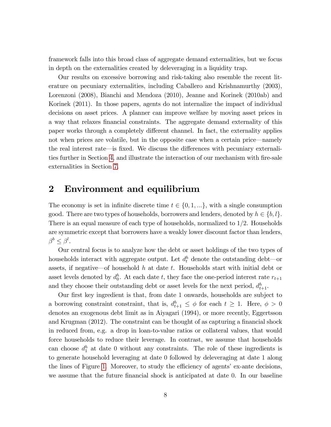framework falls into this broad class of aggregate demand externalities, but we focus in depth on the externalities created by deleveraging in a liquidity trap.

Our results on excessive borrowing and risk-taking also resemble the recent literature on pecuniary externalities, including Caballero and Krishnamurthy (2003), Lorenzoni (2008), Bianchi and Mendoza (2010), Jeanne and Korinek (2010ab) and Korinek (2011). In those papers, agents do not internalize the impact of individual decisions on asset prices. A planner can improve welfare by moving asset prices in a way that relaxes financial constraints. The aggregate demand externality of this paper works through a completely different channel. In fact, the externality applies not when prices are volatile, but in the opposite case when a certain price—namely the real interest rate—is fixed. We discuss the differences with pecuniary externali-ties further in Section [4,](#page-16-0) and illustrate the interaction of our mechanism with fire-sale externalities in Section [7.](#page-30-0)

### <span id="page-9-0"></span>2 Environment and equilibrium

The economy is set in infinite discrete time  $t \in \{0, 1, ...\}$ , with a single consumption good. There are two types of households, borrowers and lenders, denoted by  $h \in \{b, l\}$ . There is an equal measure of each type of households, normalized to  $1/2$ . Households are symmetric except that borrowers have a weakly lower discount factor than lenders,  $\beta^b \leq \beta^l$ .

Our central focus is to analyze how the debt or asset holdings of the two types of households interact with aggregate output. Let  $d_t^h$  denote the outstanding debt—or assets, if negative of household  $h$  at date  $t$ . Households start with initial debt or asset levels denoted by  $d_0^h$ . At each date t, they face the one-period interest rate  $r_{t+1}$ and they choose their outstanding debt or asset levels for the next period,  $d_{t+1}^h$ .

Our first key ingredient is that, from date 1 onwards, households are subject to a borrowing constraint constraint, that is,  $d_{t+1}^h \leq \phi$  for each  $t \geq 1$ . Here,  $\phi > 0$ denotes an exogenous debt limit as in Aiyagari (1994), or more recently, Eggertsson and Krugman  $(2012)$ . The constraint can be thought of as capturing a financial shock in reduced from, e.g. a drop in loan-to-value ratios or collateral values, that would force households to reduce their leverage. In contrast, we assume that households can choose  $d_1^h$  at date 0 without any constraints. The role of these ingredients is to generate household leveraging at date 0 followed by deleveraging at date 1 along the lines of Figure [1.](#page-3-1) Moreover, to study the efficiency of agents' ex-ante decisions, we assume that the future financial shock is anticipated at date 0. In our baseline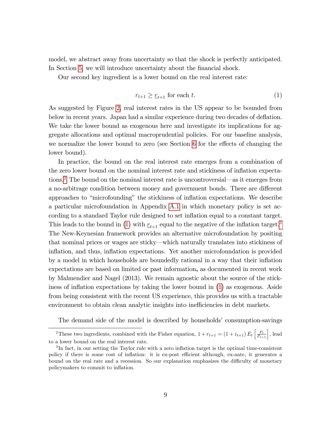model, we abstract away from uncertainty so that the shock is perfectly anticipated. In Section [5,](#page-23-0) we will introduce uncertainty about the financial shock.

Our second key ingredient is a lower bound on the real interest rate:

<span id="page-10-1"></span>
$$
r_{t+1} \geq \underline{r}_{t+1} \text{ for each } t. \tag{1}
$$

As suggested by Figure [2,](#page-4-0) real interest rates in the US appear to be bounded from below in recent years. Japan had a similar experience during two decades of deflation. We take the lower bound as exogenous here and investigate its implications for aggregate allocations and optimal macroprudential policies. For our baseline analysis, we normalize the lower bound to zero (see Section  $6$  for the effects of changing the lower bound).

In practice, the bound on the real interest rate emerges from a combination of the zero lower bound on the nominal interest rate and stickiness of inflation expecta-tions.<sup>[2](#page-10-0)</sup> The bound on the nominal interest rate is uncontroversial—as it emerges from a no-arbitrage condition between money and government bonds. There are different approaches to "microfounding" the stickiness of inflation expectations. We describe a particular microfoundation in Appendix [A.1](#page-38-1) in which monetary policy is set according to a standard Taylor rule designed to set inflation equal to a constant target. This leads to the bound in [\(1\)](#page-10-1) with  $r_{t+1}$  equal to the negative of the inflation target.<sup>[3](#page-10-2)</sup> The New-Keynesian framework provides an alternative microfoundation by positing that nominal prices or wages are sticky—which naturally translates into stickiness of inflation, and thus, inflation expectations. Yet another microfoundation is provided by a model in which households are boundedly rational in a way that their inflation expectations are based on limited or past information, as documented in recent work by Malmendier and Nagel (2013). We remain agnostic about the source of the stickiness of inflation expectations by taking the lower bound in  $(1)$  as exogenous. Aside from being consistent with the recent US experience, this provides us with a tractable environment to obtain clean analytic insights into inefficiencies in debt markets.

The demand side of the model is described by households' consumption-savings

<span id="page-10-0"></span><sup>&</sup>lt;sup>2</sup>These two ingredients, combined with the Fisher equation,  $1 + r_{t+1} = (1 + i_{t+1}) E_t \left[ \frac{P_t}{P_{t+1}} \right]$ , lead to a lower bound on the real interest rate.

<span id="page-10-2"></span> ${}^{3}$ In fact, in our setting the Taylor rule with a zero inflation target is the optimal time-consistent policy if there is some cost of inflation: it is ex-post efficient although, ex-ante, it generates a bound on the real rate and a recession. So our explanation emphasizes the difficulty of monetary policymakers to commit to inflation.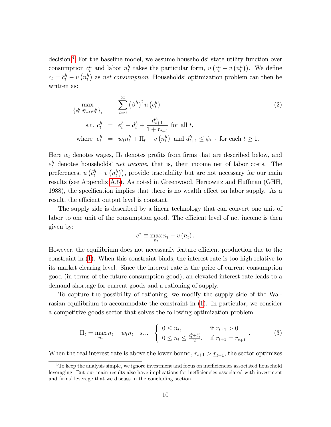$\alpha$  are the baseline model, we assume households' state utility function over consumption  $\tilde{c}_t^h$  and labor  $n_t^h$  takes the particular form,  $u\left(\tilde{c}_t^h - v\left(n_t^h\right)\right)$ . We define  $c_t = \tilde{c}_t^h - v\left(n_t^h\right)$  as net consumption. Households' optimization problem can then be written as:

<span id="page-11-1"></span>
$$
\max_{\{c_t^h, d_{t+1}^h, n_t^h\}_t} \sum_{t=0}^{\infty} (\beta^h)^t u(c_t^h)
$$
\n
$$
\text{s.t. } c_t^h = e_t^h - d_t^h + \frac{d_{t+1}^h}{1 + r_{t+1}} \text{ for all } t,
$$
\n
$$
\text{where } e_t^h = w_t n_t^h + \Pi_t - v(n_t^h) \text{ and } d_{t+1}^h \le \phi_{t+1} \text{ for each } t \ge 1.
$$
\n
$$
(2)
$$

Here  $w_t$  denotes wages,  $\Pi_t$  denotes profits from firms that are described below, and  $e_t^h$  denotes households' *net income*, that is, their income net of labor costs. The preferences,  $u\left(\tilde{c}_t^h - v\left(n_t^h\right)\right)$ , provide tractability but are not necessary for our main results (see Appendix [A.5\)](#page-46-0). As noted in Greenwood, Hercowitz and Huffman (GHH, 1988), the specification implies that there is no wealth effect on labor supply. As a result, the efficient output level is constant.

The supply side is described by a linear technology that can convert one unit of labor to one unit of the consumption good. The efficient level of net income is then given by:

$$
e^* \equiv \max_{n_t} n_t - v(n_t).
$$

However, the equilibrium does not necessarily feature efficient production due to the constraint in [\(1\)](#page-10-1). When this constraint binds, the interest rate is too high relative to its market clearing level. Since the interest rate is the price of current consumption good (in terms of the future consumption good), an elevated interest rate leads to a demand shortage for current goods and a rationing of supply.

To capture the possibility of rationing, we modify the supply side of the Walrasian equilibrium to accommodate the constraint in [\(1\)](#page-10-1). In particular, we consider a competitive goods sector that solves the following optimization problem:

<span id="page-11-2"></span>
$$
\Pi_t = \max_{n_t} n_t - w_t n_t \quad \text{s.t.} \quad \begin{cases} \ 0 \le n_t, & \text{if } r_{t+1} > 0 \\ \ 0 \le n_t \le \frac{\tilde{c}_t^b + \tilde{c}_t^l}{2}, & \text{if } r_{t+1} = \underline{r}_{t+1} \end{cases} \tag{3}
$$

When the real interest rate is above the lower bound,  $r_{t+1} > r_{t+1}$ , the sector optimizes

<span id="page-11-0"></span> $4$ To keep the analysis simple, we ignore investment and focus on inefficiencies associated household leveraging. But our main results also have implications for inefficiencies associated with investment and firms' leverage that we discuss in the concluding section.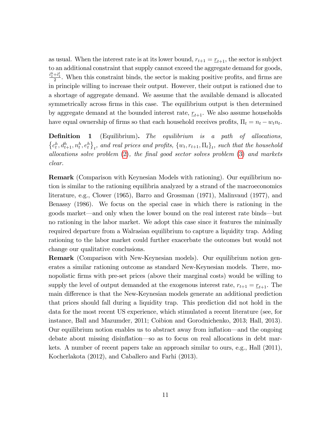as usual. When the interest rate is at its lower bound,  $r_{t+1} = \underline{r}_{t+1}$ , the sector is subject to an additional constraint that supply cannot exceed the aggregate demand for goods,  $\frac{\tilde{c}_t^b + \tilde{c}_t^l}{2}$ . When this constraint binds, the sector is making positive profits, and firms are in principle willing to increase their output. However, their output is rationed due to a shortage of aggregate demand. We assume that the available demand is allocated symmetrically across firms in this case. The equilibrium output is then determined by aggregate demand at the bounded interest rate,  $r_{t+1}$ . We also assume households have equal ownership of firms so that each household receives profits,  $\Pi_t = n_t - w_t n_t$ .

**Definition 1** (Equilibrium). The equilibrium is a path of allocations,  $\{c_t^h, d_{t+1}^h, n_t^h, e_t^h\}_t$ , and real prices and profits,  $\{w_t, r_{t+1}, \Pi_t\}_t$ , such that the household allocations solve problem  $(2)$ , the final good sector solves problem  $(3)$  and markets clear.

Remark (Comparison with Keynesian Models with rationing). Our equilibrium notion is similar to the rationing equilibria analyzed by a strand of the macroeconomics literature, e.g., Clower (1965), Barro and Grossman (1971), Malinvaud (1977), and Benassy (1986). We focus on the special case in which there is rationing in the goods market—and only when the lower bound on the real interest rate binds—but no rationing in the labor market. We adopt this case since it features the minimally required departure from a Walrasian equilibrium to capture a liquidity trap. Adding rationing to the labor market could further exacerbate the outcomes but would not change our qualitative conclusions.

Remark (Comparison with New-Keynesian models). Our equilibrium notion generates a similar rationing outcome as standard New-Keynesian models. There, monopolistic Örms with pre-set prices (above their marginal costs) would be willing to supply the level of output demanded at the exogenous interest rate,  $r_{t+1} = \underline{r}_{t+1}$ . The main difference is that the New-Keynesian models generate an additional prediction that prices should fall during a liquidity trap. This prediction did not hold in the data for the most recent US experience, which stimulated a recent literature (see, for instance, Ball and Mazumder, 2011; Coibion and Gorodnichenko, 2013; Hall, 2013). Our equilibrium notion enables us to abstract away from inflation—and the ongoing debate about missing disinflation—so as to focus on real allocations in debt markets. A number of recent papers take an approach similar to ours, e.g., Hall (2011), Kocherlakota (2012), and Caballero and Farhi (2013).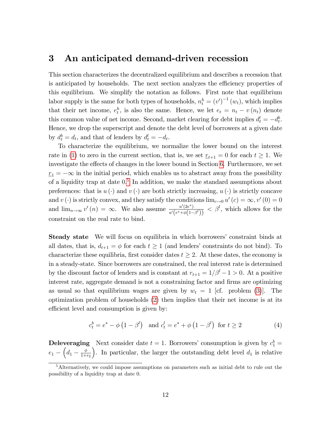### <span id="page-13-0"></span>3 An anticipated demand-driven recession

This section characterizes the decentralized equilibrium and describes a recession that is anticipated by households. The next section analyzes the efficiency properties of this equilibrium. We simplify the notation as follows. First note that equilibrium labor supply is the same for both types of households,  $n_t^h = (v')^{-1}(w_t)$ , which implies that their net income,  $e_t^h$ , is also the same. Hence, we let  $e_t = n_t - v(n_t)$  denote this common value of net income. Second, market clearing for debt implies  $d_t^l = -d_t^b$ . Hence, we drop the superscript and denote the debt level of borrowers at a given date by  $d_t^b = d_t$ , and that of lenders by  $d_t^l = -d_t$ .

To characterize the equilibrium, we normalize the lower bound on the interest rate in [\(1\)](#page-10-1) to zero in the current section, that is, we set  $r_{t+1} = 0$  for each  $t \geq 1$ . We investigate the effects of changes in the lower bound in Section [6.](#page-26-0) Furthermore, we set  $r_1 = -\infty$  in the initial period, which enables us to abstract away from the possibility of a liquidity trap at date 0. [5](#page-13-1) In addition, we make the standard assumptions about preferences: that is  $u(\cdot)$  and  $v(\cdot)$  are both strictly increasing,  $u(\cdot)$  is strictly concave and  $v(\cdot)$  is strictly convex, and they satisfy the conditions  $\lim_{c\to 0} u'(c) = \infty, v'(0) = 0$ and  $\lim_{n\to\infty} v'(n) = \infty$ . We also assume  $\frac{u'(2e^*)}{u'(e^*+\phi(1-e^*))}$  $\frac{u'(2e^*)}{u'(e^* + \phi(1-\beta^l))} < \beta^l$ , which allows for the constraint on the real rate to bind.

Steady state We will focus on equilibria in which borrowers' constraint binds at all dates, that is,  $d_{t+1} = \phi$  for each  $t \geq 1$  (and lenders' constraints do not bind). To characterize these equilibria, first consider dates  $t \geq 2$ . At these dates, the economy is in a steady-state. Since borrowers are constrained, the real interest rate is determined by the discount factor of lenders and is constant at  $r_{t+1} = 1/\beta^l - 1 > 0$ . At a positive interest rate, aggregate demand is not a constraining factor and firms are optimizing as usual so that equilibrium wages are given by  $w_t = 1$  [cf. problem [\(3\)](#page-11-2)]. The optimization problem of households [\(2\)](#page-11-1) then implies that their net income is at its efficient level and consumption is given by:

<span id="page-13-2"></span>
$$
c_t^b = e^* - \phi \left( 1 - \beta^l \right)
$$
 and  $c_t^l = e^* + \phi \left( 1 - \beta^l \right)$  for  $t \ge 2$  (4)

**Deleveraging** Next consider date  $t = 1$ . Borrowers' consumption is given by  $c_1^b =$  $e_1 - \left(d_1 - \frac{\phi}{1 + \phi}\right)$  $1+r_2$ ). In particular, the larger the outstanding debt level  $d_1$  is relative

<span id="page-13-1"></span><sup>&</sup>lt;sup>5</sup>Alternatively, we could impose assumptions on parameters such as initial debt to rule out the possibility of a liquidity trap at date 0.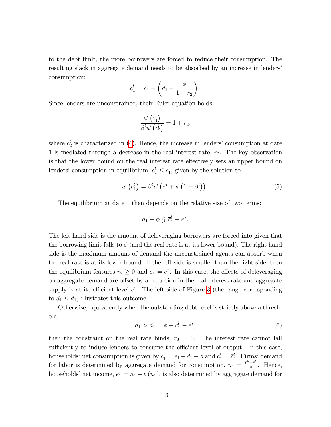to the debt limit, the more borrowers are forced to reduce their consumption. The resulting slack in aggregate demand needs to be absorbed by an increase in lenders' consumption:

$$
c_1^l = e_1 + \left(d_1 - \frac{\phi}{1+r_2}\right).
$$

Since lenders are unconstrained, their Euler equation holds

$$
\frac{u'\left(c_1^l\right)}{\beta^l u'\left(c_2^l\right)} = 1 + r_2,
$$

where  $c_2^l$  is characterized in [\(4\)](#page-13-2). Hence, the increase in lenders' consumption at date 1 is mediated through a decrease in the real interest rate,  $r_2$ . The key observation is that the lower bound on the real interest rate effectively sets an upper bound on lenders' consumption in equilibrium,  $c_1^l \leq \overline{c}_1^l$ , given by the solution to

$$
u'\left(\overline{c}_1^l\right) = \beta^l u'\left(e^* + \phi\left(1 - \beta^l\right)\right). \tag{5}
$$

The equilibrium at date 1 then depends on the relative size of two terms:

$$
d_1 - \phi \lessgtr \overline{c}_1^l - e^*.
$$

The left hand side is the amount of deleveraging borrowers are forced into given that the borrowing limit falls to  $\phi$  (and the real rate is at its lower bound). The right hand side is the maximum amount of demand the unconstrained agents can absorb when the real rate is at its lower bound. If the left side is smaller than the right side, then the equilibrium features  $r_2 \geq 0$  and  $e_1 = e^*$ . In this case, the effects of deleveraging on aggregate demand are offset by a reduction in the real interest rate and aggregate supply is at its efficient level  $e^*$ . The left side of Figure [3](#page-15-0) (the range corresponding to  $d_1 \leq d_1$ ) illustrates this outcome.

Otherwise, equivalently when the outstanding debt level is strictly above a threshold

<span id="page-14-0"></span>
$$
d_1 > \overline{d}_1 = \phi + \overline{c}_1^l - e^*,
$$
 (6)

then the constraint on the real rate binds,  $r_2 = 0$ . The interest rate cannot fall sufficiently to induce lenders to consume the efficient level of output. In this case, households' net consumption is given by  $c_1^b = e_1 - d_1 + \phi$  and  $c_1^l = \bar{c}_1^l$ . Firms' demand for labor is determined by aggregate demand for consumption,  $n_1 = \frac{\tilde{c}_1^b + \tilde{c}_1^l}{2}$ . Hence, households' net income,  $e_1 = n_1 - v(n_1)$ , is also determined by aggregate demand for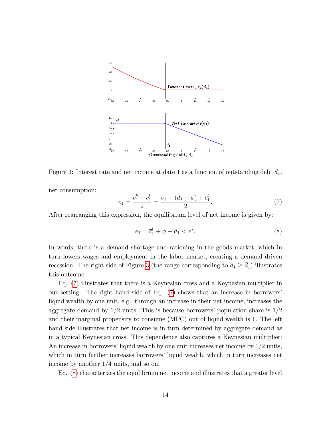

<span id="page-15-0"></span>Figure 3: Interest rate and net income at date 1 as a function of outstanding debt  $d_1$ .

net consumption:

<span id="page-15-1"></span>
$$
e_1 = \frac{c_1^b + c_1^l}{2} = \frac{e_1 - (d_1 - \phi) + \overline{c}_1^l}{2}.
$$
 (7)

After rearranging this expression, the equilibrium level of net income is given by:

<span id="page-15-2"></span>
$$
e_1 = \bar{c}_1^l + \phi - d_1 < e^*.\tag{8}
$$

In words, there is a demand shortage and rationing in the goods market, which in turn lowers wages and employment in the labor market, creating a demand driven recession. The right side of Figure [3](#page-15-0) (the range corresponding to  $d_1 \geq \overline{d_1}$ ) illustrates this outcome.

Eq. [\(7\)](#page-15-1) illustrates that there is a Keynesian cross and a Keynesian multiplier in our setting. The right hand side of Eq. [\(7\)](#page-15-1) shows that an increase in borrowersí liquid wealth by one unit, e.g., through an increase in their net income, increases the aggregate demand by  $1/2$  units. This is because borrowers' population share is  $1/2$ and their marginal propensity to consume (MPC) out of liquid wealth is 1. The left hand side illustrates that net income is in turn determined by aggregate demand as in a typical Keynesian cross. This dependence also captures a Keynesian multiplier: An increase in borrowers' liquid wealth by one unit increases net income by  $1/2$  units, which in turn further increases borrowers' liquid wealth, which in turn increases net income by another  $1/4$  units, and so on.

Eq. [\(8\)](#page-15-2) characterizes the equilibrium net income and illustrates that a greater level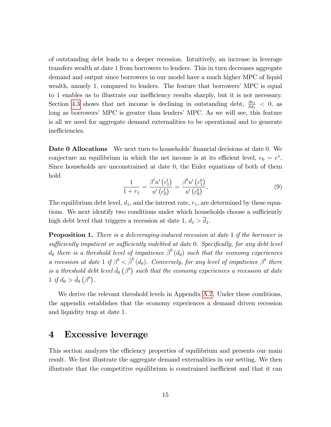of outstanding debt leads to a deeper recession. Intuitively, an increase in leverage transfers wealth at date 1 from borrowers to lenders. This in turn decreases aggregate demand and output since borrowers in our model have a much higher MPC of liquid wealth, namely 1, compared to lenders. The feature that borrowers' MPC is equal to 1 enables us to illustrate our inefficiency results sharply, but it is not necessary. Section [4.3](#page-21-0) shows that net income is declining in outstanding debt,  $\frac{\partial e_1}{\partial d_1}$  < 0, as long as borrowers' MPC is greater than lenders' MPC. As we will see, this feature is all we need for aggregate demand externalities to be operational and to generate inefficiencies.

**Date 0 Allocations** We next turn to households' financial decisions at date 0. We conjecture an equilibrium in which the net income is at its efficient level,  $e_0 = e^*$ . Since households are unconstrained at date 0, the Euler equations of both of them hold

<span id="page-16-1"></span>
$$
\frac{1}{1+r_1} = \frac{\beta^l u'\left(c_1^l\right)}{u'\left(c_0^l\right)} = \frac{\beta^b u'\left(c_1^b\right)}{u'\left(c_0^b\right)}.\tag{9}
$$

The equilibrium debt level,  $d_1$ , and the interest rate,  $r_1$ , are determined by these equations. We next identify two conditions under which households choose a sufficiently high debt level that triggers a recession at date 1,  $d_1 > \overline{d}_1$ .

<span id="page-16-2"></span>Proposition 1. There is a deleveraging-induced recession at date 1 if the borrower is sufficiently impatient or sufficiently indebted at date  $0$ . Specifically, for any debt level  $d_0$  there is a threshold level of impatience  $\bar{\beta}^b\left(d_0\right)$  such that the economy experiences a recession at date 1 if  $\beta^b < \bar{\beta}^b(d_0)$ . Conversely, for any level of impatience  $\beta^b$  there is a threshold debt level  $\bar{d}_0$   $(\beta^b)$  such that the economy experiences a recession at date 1 if  $d_0 > \bar{d}_0 \left(\beta^b\right)$ .

We derive the relevant threshold levels in Appendix [A.2.](#page-39-0) Under these conditions, the appendix establishes that the economy experiences a demand driven recession and liquidity trap at date 1.

### <span id="page-16-0"></span>4 Excessive leverage

This section analyzes the efficiency properties of equilibrium and presents our main result. We first illustrate the aggregate demand externalities in our setting. We then illustrate that the competitive equilibrium is constrained inefficient and that it can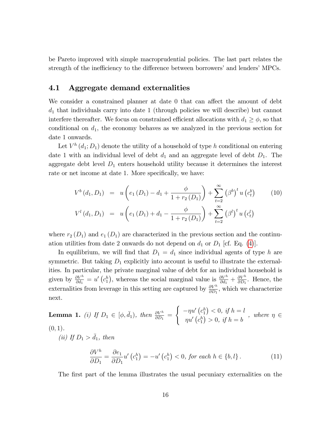be Pareto improved with simple macroprudential policies. The last part relates the strength of the inefficiency to the difference between borrowers' and lenders' MPCs.

### <span id="page-17-0"></span>4.1 Aggregate demand externalities

We consider a constrained planner at date  $0$  that can affect the amount of debt  $d_1$  that individuals carry into date 1 (through policies we will describe) but cannot interfere thereafter. We focus on constrained efficient allocations with  $d_1 \geq \phi$ , so that conditional on  $d_1$ , the economy behaves as we analyzed in the previous section for date 1 onwards.

Let  $V^h(d_1; D_1)$  denote the utility of a household of type h conditional on entering date 1 with an individual level of debt  $d_1$  and an aggregate level of debt  $D_1$ . The aggregate debt level  $D_1$  enters household utility because it determines the interest rate or net income at date 1. More specifically, we have:

<span id="page-17-2"></span>
$$
V^{b}(d_{1}, D_{1}) = u\left(e_{1}(D_{1}) - d_{1} + \frac{\phi}{1 + r_{2}(D_{1})}\right) + \sum_{t=2}^{\infty} (\beta^{b})^{t} u(c_{t}^{b})
$$
(10)  

$$
V^{l}(d_{1}, D_{1}) = u\left(e_{1}(D_{1}) + d_{1} - \frac{\phi}{1 + r_{2}(D_{1})}\right) + \sum_{t=2}^{\infty} (\beta^{l})^{t} u(c_{t}^{l})
$$

where  $r_2(D_1)$  and  $e_1(D_1)$  are characterized in the previous section and the continuation utilities from date 2 onwards do not depend on  $d_1$  or  $D_1$  [cf. Eq. [\(4\)](#page-13-2)].

In equilibrium, we will find that  $D_1 = d_1$  since individual agents of type h are symmetric. But taking  $D_1$  explicitly into account is useful to illustrate the externalities. In particular, the private marginal value of debt for an individual household is given by  $\frac{\partial V^h}{\partial d_1} = u'(c_1^h)$ , whereas the social marginal value is  $\frac{\partial V^h}{\partial d_1} + \frac{\partial V^h}{\partial D_1}$  $\frac{\partial V^n}{\partial D_1}$ . Hence, the externalities from leverage in this setting are captured by  $\frac{\partial V^h}{\partial D_1}$ , which we characterize next.

<span id="page-17-1"></span>**Lemma 1.** (i) If 
$$
D_1 \in [\phi, \bar{d}_1)
$$
, then  $\frac{\partial V^h}{\partial D_1} = \begin{cases} -\eta u' (c_1^h) < 0, & \text{if } h = l \\ \eta u' (c_1^h) > 0, & \text{if } h = b \end{cases}$ , where  $\eta \in (0, 1)$ .

(ii) If  $D_1 > \bar{d}_1$ , then

<span id="page-17-3"></span>
$$
\frac{\partial V^h}{\partial D_1} = \frac{\partial e_1}{\partial D_1} u' \left( c_1^h \right) = -u' \left( c_1^h \right) < 0, \text{ for each } h \in \{b, l\} \,. \tag{11}
$$

The first part of the lemma illustrates the usual pecuniary externalities on the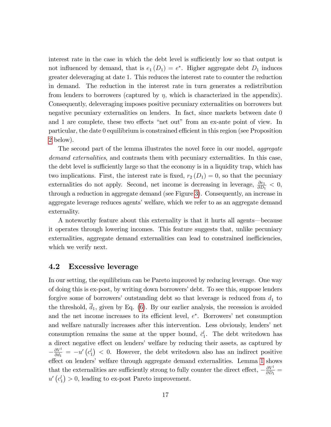interest rate in the case in which the debt level is sufficiently low so that output is not influenced by demand, that is  $e_1(D_1) = e^*$ . Higher aggregate debt  $D_1$  induces greater deleveraging at date 1. This reduces the interest rate to counter the reduction in demand. The reduction in the interest rate in turn generates a redistribution from lenders to borrowers (captured by  $\eta$ , which is characterized in the appendix). Consequently, deleveraging imposes positive pecuniary externalities on borrowers but negative pecuniary externalities on lenders. In fact, since markets between date 0 and 1 are complete, these two effects "net out" from an ex-ante point of view. In particular, the date 0 equilibrium is constrained efficient in this region (see Proposition [2](#page-19-0) below).

The second part of the lemma illustrates the novel force in our model, *aggregate* demand externalities, and contrasts them with pecuniary externalities. In this case, the debt level is sufficiently large so that the economy is in a liquidity trap, which has two implications. First, the interest rate is fixed,  $r_2(D_1) = 0$ , so that the pecuniary externalities do not apply. Second, net income is decreasing in leverage,  $\frac{\partial e_1}{\partial D_1} < 0$ , through a reduction in aggregate demand (see Figure [3\)](#page-15-0). Consequently, an increase in aggregate leverage reduces agents' welfare, which we refer to as an aggregate demand externality.

A noteworthy feature about this externality is that it hurts all agents—because it operates through lowering incomes. This feature suggests that, unlike pecuniary externalities, aggregate demand externalities can lead to constrained inefficiencies, which we verify next.

#### <span id="page-18-0"></span>4.2 Excessive leverage

In our setting, the equilibrium can be Pareto improved by reducing leverage. One way of doing this is ex-post, by writing down borrowers' debt. To see this, suppose lenders forgive some of borrowers' outstanding debt so that leverage is reduced from  $d_1$  to the threshold,  $\overline{d}_1$ , given by Eq. [\(6\)](#page-14-0). By our earlier analysis, the recession is avoided and the net income increases to its efficient level,  $e^*$ . Borrowers' net consumption and welfare naturally increases after this intervention. Less obviously, lendersí net consumption remains the same at the upper bound,  $\bar{c}_1^l$ . The debt writedown has a direct negative effect on lenders' welfare by reducing their assets, as captured by  $-\frac{\partial V^l}{\partial d_1}$  $\frac{\partial V^l}{\partial d_1}$  =  $-u'(c_1^l)$  < 0. However, the debt writedown also has an indirect positive effect on lenders' welfare through aggregate demand externalities. Lemma  $1$  shows that the externalities are sufficiently strong to fully counter the direct effect,  $-\frac{\partial V^l}{\partial D_1}$  $\frac{\partial V^i}{\partial D_1} =$  $u'\left(c_1^l\right) > 0$ , leading to ex-post Pareto improvement.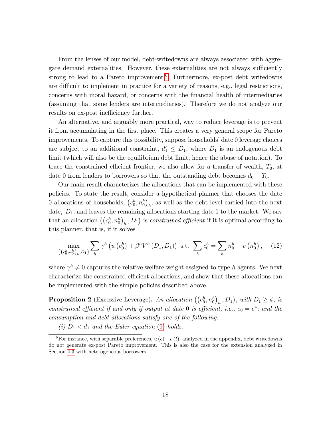From the lenses of our model, debt-writedowns are always associated with aggregate demand externalities. However, these externalities are not always sufficiently strong to lead to a Pareto improvement.<sup>[6](#page-19-1)</sup> Furthermore, ex-post debt writedowns are difficult to implement in practice for a variety of reasons, e.g., legal restrictions, concerns with moral hazard, or concerns with the Önancial health of intermediaries (assuming that some lenders are intermediaries). Therefore we do not analyze our results on ex-post inefficiency further.

An alternative, and arguably more practical, way to reduce leverage is to prevent it from accumulating in the Örst place. This creates a very general scope for Pareto improvements. To capture this possibility, suppose households' date 0 leverage choices are subject to an additional constraint,  $d_1^h \leq D_1$ , where  $D_1$  is an endogenous debt limit (which will also be the equilibrium debt limit, hence the abuse of notation). To trace the constrained efficient frontier, we also allow for a transfer of wealth,  $T_0$ , at date 0 from lenders to borrowers so that the outstanding debt becomes  $d_0 - T_0$ .

Our main result characterizes the allocations that can be implemented with these policies. To state the result, consider a hypothetical planner that chooses the date 0 allocations of households,  $(c_0^h, n_0^h)_h$ , as well as the debt level carried into the next date,  $D_1$ , and leaves the remaining allocations starting date 1 to the market. We say that an allocation  $((c_0^h, n_0^h)_h, D_1)$  is *constrained efficient* if it is optimal according to this planner, that is, if it solves

<span id="page-19-2"></span>
$$
\max_{\left(\left(c_0^h, n_0^h\right)_h, D_1\right)} \sum_h \gamma^h \left(u\left(c_0^h\right) + \beta^h V^h\left(D_1, D_1\right)\right) \text{ s.t. } \sum_h c_0^h = \sum_h n_0^h - v\left(n_0^h\right), \quad (12)
$$

where  $\gamma^h \neq 0$  captures the relative welfare weight assigned to type h agents. We next characterize the constrained efficient allocations, and show that these allocations can be implemented with the simple policies described above.

<span id="page-19-0"></span>**Proposition 2** (Excessive Leverage). An allocation  $((c_0^h, n_0^h)_h, D_1)$ , with  $D_1 \ge \phi$ , is constrained efficient if and only if output at date 0 is efficient, i.e.,  $e_0 = e^*$ ; and the consumption and debt allocations satisfy one of the following:

(i)  $D_1 < \bar{d}_1$  and the Euler equation [\(9\)](#page-16-1) holds.

<span id="page-19-1"></span><sup>&</sup>lt;sup>6</sup>For instance, with separable preferences,  $u(c)-v(l)$ , analyzed in the appendix, debt writedowns do not generate ex-post Pareto improvement. This is also the case for the extension analyzed in Section [4.3](#page-21-0) with heterogeneous borrowers.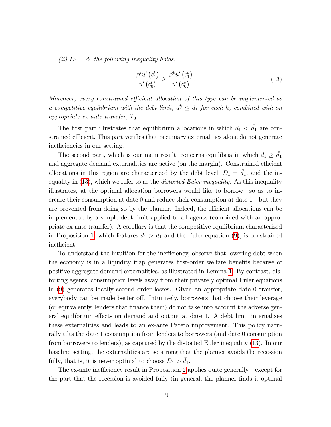(ii)  $D_1 = \bar{d}_1$  the following inequality holds:

<span id="page-20-0"></span>
$$
\frac{\beta^l u'\left(c_1^l\right)}{u'\left(c_0^l\right)} \ge \frac{\beta^b u'\left(c_1^b\right)}{u'\left(c_0^b\right)}.\tag{13}
$$

Moreover, every constrained efficient allocation of this type can be implemented as a competitive equilibrium with the debt limit,  $d_1^h \leq \bar{d}_1$  for each h, combined with an appropriate ex-ante transfer,  $T_0$ .

The first part illustrates that equilibrium allocations in which  $d_1 < d_1$  are constrained efficient. This part verifies that pecuniary externalities alone do not generate inefficiencies in our setting.

The second part, which is our main result, concerns equilibria in which  $d_1 \geq \overline{d_1}$ and aggregate demand externalities are active (on the margin). Constrained efficient allocations in this region are characterized by the debt level,  $D_1 = d_1$ , and the inequality in  $(13)$ , which we refer to as the *distorted Euler inequality*. As this inequality illustrates, at the optimal allocation borrowers would like to borrow—so as to increase their consumption at date  $0$  and reduce their consumption at date  $1$ —but they are prevented from doing so by the planner. Indeed, the efficient allocations can be implemented by a simple debt limit applied to all agents (combined with an appropriate ex-ante transfer). A corollary is that the competitive equilibrium characterized in Proposition [1,](#page-16-2) which features  $d_1 > \overline{d}_1$  and the Euler equation [\(9\)](#page-16-1), is constrained inefficient.

To understand the intuition for the inefficiency, observe that lowering debt when the economy is in a liquidity trap generates first-order welfare benefits because of positive aggregate demand externalities, as illustrated in Lemma [1.](#page-17-1) By contrast, distorting agents' consumption levels away from their privately optimal Euler equations in [\(9\)](#page-16-1) generates locally second order losses. Given an appropriate date 0 transfer, everybody can be made better off. Intuitively, borrowers that choose their leverage (or equivalently, lenders that Önance them) do not take into account the adverse general equilibrium effects on demand and output at date 1. A debt limit internalizes these externalities and leads to an ex-ante Pareto improvement. This policy naturally tilts the date 1 consumption from lenders to borrowers (and date 0 consumption from borrowers to lenders), as captured by the distorted Euler inequality [\(13\)](#page-20-0). In our baseline setting, the externalities are so strong that the planner avoids the recession fully, that is, it is never optimal to choose  $D_1 > d_1$ .

The ex-ante inefficiency result in Proposition [2](#page-19-0) applies quite generally—except for the part that the recession is avoided fully (in general, the planner finds it optimal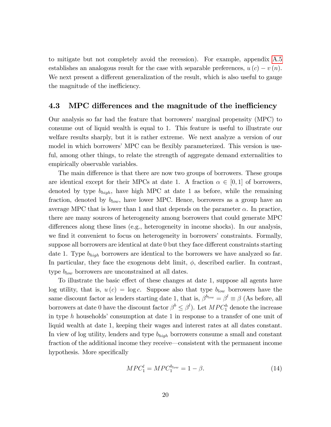to mitigate but not completely avoid the recession). For example, appendix [A.5](#page-46-0) establishes an analogous result for the case with separable preferences,  $u(c) - v(n)$ . We next present a different generalization of the result, which is also useful to gauge the magnitude of the inefficiency.

#### <span id="page-21-0"></span>4.3 MPC differences and the magnitude of the inefficiency

Our analysis so far had the feature that borrowersímarginal propensity (MPC) to consume out of liquid wealth is equal to 1. This feature is useful to illustrate our welfare results sharply, but it is rather extreme. We next analyze a version of our model in which borrowers' MPC can be flexibly parameterized. This version is useful, among other things, to relate the strength of aggregate demand externalities to empirically observable variables.

The main difference is that there are now two groups of borrowers. These groups are identical except for their MPCs at date 1. A fraction  $\alpha \in [0,1]$  of borrowers, denoted by type  $b_{high}$ , have high MPC at date 1 as before, while the remaining fraction, denoted by  $b_{low}$ , have lower MPC. Hence, borrowers as a group have an average MPC that is lower than 1 and that depends on the parameter  $\alpha$ . In practice, there are many sources of heterogeneity among borrowers that could generate MPC differences along these lines (e.g., heterogeneity in income shocks). In our analysis, we find it convenient to focus on heterogeneity in borrowers' constraints. Formally, suppose all borrowers are identical at date 0 but they face different constraints starting date 1. Type  $b_{high}$  borrowers are identical to the borrowers we have analyzed so far. In particular, they face the exogenous debt limit,  $\phi$ , described earlier. In contrast, type  $b_{low}$  borrowers are unconstrained at all dates.

To illustrate the basic effect of these changes at date 1, suppose all agents have log utility, that is,  $u(c) = \log c$ . Suppose also that type  $b_{low}$  borrowers have the same discount factor as lenders starting date 1, that is,  $\beta^{b_{low}} = \beta^l \equiv \beta$  (As before, all borrowers at date 0 have the discount factor  $\beta^b \leq \beta^l$ ). Let  $MPC_1^h$  denote the increase in type h households' consumption at date 1 in response to a transfer of one unit of liquid wealth at date 1, keeping their wages and interest rates at all dates constant. In view of log utility, lenders and type  $b_{high}$  borrowers consume a small and constant fraction of the additional income they receive—consistent with the permanent income hypothesis. More specifically

$$
MPC_1^l = MPC_1^{b_{low}} = 1 - \beta.
$$
 (14)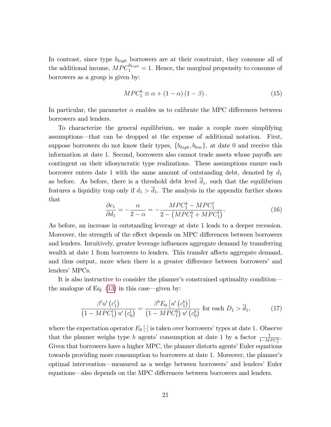In contrast, since type  $b_{high}$  borrowers are at their constraint, they consume all of the additional income,  $MPC_1^{b_{high}} = 1$ . Hence, the marginal propensity to consume of borrowers as a group is given by:

$$
MPC_1^b \equiv \alpha + (1 - \alpha)(1 - \beta). \tag{15}
$$

In particular, the parameter  $\alpha$  enables us to calibrate the MPC differences between borrowers and lenders.

To characterize the general equilibrium, we make a couple more simplifying assumptions—that can be dropped at the expense of additional notation. First, suppose borrowers do not know their types,  $\{b_{high}, b_{low}\}\$ , at date 0 and receive this information at date 1. Second, borrowers also cannot trade assets whose payoffs are contingent on their idiosyncratic type realizations. These assumptions ensure each borrower enters date 1 with the same amount of outstanding debt, denoted by  $d_1$ as before. As before, there is a threshold debt level  $d_1$ , such that the equilibrium features a liquidity trap only if  $d_1 > \overline{d}_1$ . The analysis in the appendix further shows that

<span id="page-22-0"></span>
$$
\frac{\partial e_1}{\partial d_1} = -\frac{\alpha}{2 - \alpha} = -\frac{MPC_1^b - MPC_1^l}{2 - (MPC_1^b + MPC_1^l)}.
$$
\n(16)

As before, an increase in outstanding leverage at date 1 leads to a deeper recession. Moreover, the strength of the effect depends on MPC differences between borrowers and lenders. Intuitively, greater leverage influences aggregate demand by transferring wealth at date 1 from borrowers to lenders. This transfer affects aggregate demand, and thus output, more when there is a greater difference between borrowers' and lenders' MPCs.

It is also instructive to consider the planner's constrained optimality condition the analogue of Eq.  $(13)$  in this case—given by:

<span id="page-22-1"></span>
$$
\frac{\beta^l u'\left(c_1^l\right)}{\left(1 - MPC_1^l\right)u'\left(c_0^l\right)} = \frac{\beta^b E_0\left[u'\left(c_1^b\right)\right]}{\left(1 - MPC_1^b\right)u'\left(c_0^b\right)} \text{ for each } D_1 > \overline{d}_1,\tag{17}
$$

where the expectation operator  $E_0[\cdot]$  is taken over borrowers' types at date 1. Observe that the planner weighs type h agents' consumption at date 1 by a factor  $\frac{1}{1-MPC_1^h}$ . Given that borrowers have a higher MPC, the planner distorts agents' Euler equations towards providing more consumption to borrowers at date 1. Moreover, the plannerís optimal intervention—measured as a wedge between borrowers' and lenders' Euler equations—also depends on the MPC differences between borrowers and lenders.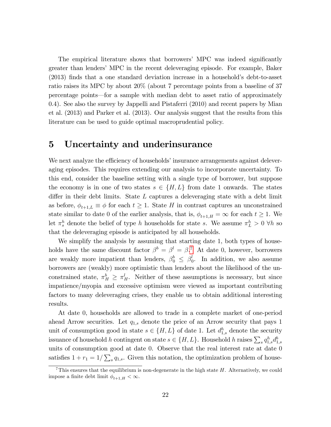The empirical literature shows that borrowers' MPC was indeed significantly greater than lenders' MPC in the recent deleveraging episode. For example, Baker  $(2013)$  finds that a one standard deviation increase in a household's debt-to-asset ratio raises its MPC by about 20% (about 7 percentage points from a baseline of 37 percentage points—for a sample with median debt to asset ratio of approximately 0.4). See also the survey by Jappelli and Pistaferri (2010) and recent papers by Mian et al. (2013) and Parker et al. (2013). Our analysis suggest that the results from this literature can be used to guide optimal macroprudential policy.

### <span id="page-23-0"></span>5 Uncertainty and underinsurance

We next analyze the efficiency of households' insurance arrangements against deleveraging episodes. This requires extending our analysis to incorporate uncertainty. To this end, consider the baseline setting with a single type of borrower, but suppose the economy is in one of two states  $s \in \{H, L\}$  from date 1 onwards. The states differ in their debt limits. State  $L$  captures a deleveraging state with a debt limit as before,  $\phi_{t+1,L} \equiv \phi$  for each  $t \geq 1$ . State H in contrast captures an unconstrained state similar to date 0 of the earlier analysis, that is,  $\phi_{t+1,H} = \infty$  for each  $t \geq 1$ . We let  $\pi_s^h$  denote the belief of type h households for state s. We assume  $\pi_L^h > 0$   $\forall h$  so that the deleveraging episode is anticipated by all households.

We simplify the analysis by assuming that starting date 1, both types of households have the same discount factor  $\beta^b = \beta^l = \beta$ .<sup>[7](#page-23-1)</sup> At date 0, however, borrowers are weakly more impatient than lenders,  $\beta_0^b \leq \beta_0^b$  $\int_0^l$ . In addition, we also assume borrowers are (weakly) more optimistic than lenders about the likelihood of the unconstrained state,  $\pi_H^b \geq \pi_H^l$ . Neither of these assumptions is necessary, but since impatience/myopia and excessive optimism were viewed as important contributing factors to many deleveraging crises, they enable us to obtain additional interesting results.

At date 0, households are allowed to trade in a complete market of one-period ahead Arrow securities. Let  $q_{1,s}$  denote the price of an Arrow security that pays 1 unit of consumption good in state  $s \in \{H, L\}$  of date 1. Let  $d_{1,s}^h$  denote the security issuance of household h contingent on state  $s \in \{H, L\}$ . Household h raises  $\sum_s q_{1,s}^h d_{1,s}^b$ units of consumption good at date 0. Observe that the real interest rate at date 0 satisfies  $1 + r_1 = 1/\sum_s q_{1,s}$ . Given this notation, the optimization problem of house-

<span id="page-23-1"></span><sup>&</sup>lt;sup>7</sup>This ensures that the equilibrium is non-degenerate in the high state  $H$ . Alternatively, we could impose a finite debt limit  $\phi_{t+1,H} < \infty$ .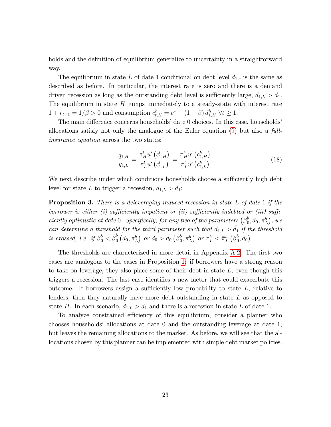holds and the definition of equilibrium generalize to uncertainty in a straightforward way.

The equilibrium in state L of date 1 conditional on debt level  $d_{1,s}$  is the same as described as before. In particular, the interest rate is zero and there is a demand driven recession as long as the outstanding debt level is sufficiently large,  $d_{1,L} > d_1$ . The equilibrium in state  $H$  jumps immediately to a steady-state with interest rate  $1 + r_{t+1} = 1/\beta > 0$  and consumption  $c_{t,H}^h = e^* - (1 - \beta) d_{1,H}^h \ \forall t \geq 1$ .

The main difference concerns households<sup>*'*</sup> date 0 choices. In this case, households<sup>*'*</sup> allocations satisfy not only the analogue of the Euler equation [\(9\)](#page-16-1) but also a fullinsurance equation across the two states:

<span id="page-24-0"></span>
$$
\frac{q_{1,H}}{q_{1,L}} = \frac{\pi_H^l u' (c_{1,H}^l)}{\pi_L^l u' (c_{1,L}^l)} = \frac{\pi_H^b u' (c_{1,H}^b)}{\pi_L^b u' (c_{1,L}^b)}.
$$
\n(18)

We next describe under which conditions households choose a sufficiently high debt level for state L to trigger a recession,  $d_{1,L} > \overline{d}_1$ :

<span id="page-24-1"></span>**Proposition 3.** There is a deleveraging-induced recession in state  $L$  of date 1 if the borrower is either (i) sufficiently impatient or (ii) sufficiently indebted or (iii) sufficiently optimistic at date 0. Specifically, for any two of the parameters  $(\beta_0^b)$  $_{0}^{b},d_{0},\pi _{L}^{b}),$  we can determine a threshold for the third parameter such that  $d_{1,L} > d_1$  if the threshold is crossed, i.e. if  $\beta_0^b < \bar{\beta}_0^b$  $\stackrel{b}{_{0}}\left(d_{0},\pi_{L}^{b}\right)$  or  $d_{0}>\bar{d}_{0}$   $\left(\beta_{0}^{b}\right)$  $\left( \begin{smallmatrix} b \\ 0 \end{smallmatrix} , \pi_L^b \right)$  or  $\pi_L^b < \bar{\pi}_L^b$   $\left( \beta_0^b \right)$  $_{0}^{b},d_{0}$ .

The thresholds are characterized in more detail in Appendix [A.2.](#page-39-0) The first two cases are analogous to the cases in Proposition [1:](#page-16-2) if borrowers have a strong reason to take on leverage, they also place some of their debt in state  $L$ , even though this triggers a recession. The last case identifies a new factor that could exacerbate this outcome. If borrowers assign a sufficiently low probability to state  $L$ , relative to lenders, then they naturally have more debt outstanding in state L as opposed to state H. In each scenario,  $d_{1,L} > \overline{d}_1$  and there is a recession in state L of date 1.

To analyze constrained efficiency of this equilibrium, consider a planner who chooses householdsí allocations at date 0 and the outstanding leverage at date 1, but leaves the remaining allocations to the market. As before, we will see that the allocations chosen by this planner can be implemented with simple debt market policies.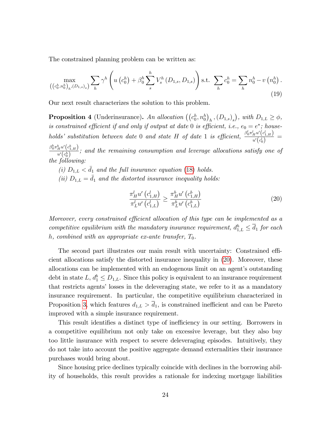The constrained planning problem can be written as:

<span id="page-25-2"></span>
$$
\max_{\left(\left(c_0^h, n_0^h\right)_h, (D_{1,s})_s\right)} \sum_h \gamma^h \left(u\left(c_0^h\right) + \beta_0^h \sum_s^h V_s^h\left(D_{1,s}, D_{1,s}\right)\right) \text{s.t. } \sum_h c_0^h = \sum_h n_0^h - v\left(n_0^h\right). \tag{19}
$$

Our next result characterizes the solution to this problem.

<span id="page-25-1"></span>**Proposition 4** (Underinsurance). An allocation  $((c_0^h, n_0^h)_h, (D_{1,s})_s)$ , with  $D_{1,L} \ge \phi$ , is constrained efficient if and only if output at date 0 is efficient, i.e.,  $e_0 = e^*$ ; households' substitution between date 0 and state H of date 1 is efficient,  $\frac{\beta_0^l \pi_H^l u'(c_{1,H}^l)}{u'(d)}$  $\frac{H^{a} (c_{1,H}^{l})}{u^{l}(c_{0}^{l})} =$ 

 $\beta^b_0\pi^b_{H}u'\!\left(c^b_{1,H}\right)$  $\frac{H^{\alpha}(\mathcal{C}_1,H)}{u'(c_0^h)}$ ; and the remaining consumption and leverage allocations satisfy one of the following:

(i)  $D_{1,L} < \bar{d}_1$  and the full insurance equation [\(18\)](#page-24-0) holds.

(ii)  $D_{1,L} = \bar{d}_1$  and the distorted insurance inequality holds:

<span id="page-25-0"></span>
$$
\frac{\pi_{H}^{l} u'(c_{1,H}^{l})}{\pi_{L}^{l} u'(c_{1,L}^{l})} \geq \frac{\pi_{H}^{b} u'(c_{1,H}^{b})}{\pi_{L}^{b} u'(c_{1,L}^{b})}
$$
\n(20)

Moreover, every constrained efficient allocation of this type can be implemented as a competitive equilibrium with the mandatory insurance requirement,  $d_{1,L}^h \leq \overline{d}_1$  for each h, combined with an appropriate ex-ante transfer,  $T_0$ .

The second part illustrates our main result with uncertainty: Constrained efficient allocations satisfy the distorted insurance inequality in [\(20\)](#page-25-0). Moreover, these allocations can be implemented with an endogenous limit on an agent's outstanding debt in state  $L, d_1^b \leq D_{1,L}$ . Since this policy is equivalent to an insurance requirement that restricts agents' losses in the deleveraging state, we refer to it as a mandatory insurance requirement. In particular, the competitive equilibrium characterized in Proposition [3,](#page-24-1) which features  $d_{1,L} > \overline{d}_1$ , is constrained inefficient and can be Pareto improved with a simple insurance requirement.

This result identifies a distinct type of inefficiency in our setting. Borrowers in a competitive equilibrium not only take on excessive leverage, but they also buy too little insurance with respect to severe deleveraging episodes. Intuitively, they do not take into account the positive aggregate demand externalities their insurance purchases would bring about.

Since housing price declines typically coincide with declines in the borrowing ability of households, this result provides a rationale for indexing mortgage liabilities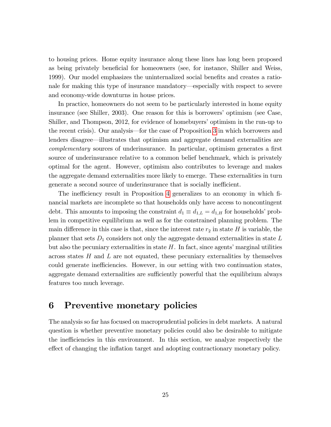to housing prices. Home equity insurance along these lines has long been proposed as being privately beneficial for homeowners (see, for instance, Shiller and Weiss, 1999). Our model emphasizes the uninternalized social benefits and creates a rationale for making this type of insurance mandatory—especially with respect to severe and economy-wide downturns in house prices.

In practice, homeowners do not seem to be particularly interested in home equity insurance (see Shiller, 2003). One reason for this is borrowers' optimism (see Case, Shiller, and Thompson, 2012, for evidence of homebuyers' optimism in the run-up to the recent crisis). Our analysis—for the case of Proposition [3](#page-24-1) in which borrowers and lenders disagree—illustrates that optimism and aggregate demand externalities are complementary sources of underinsurance. In particular, optimism generates a first source of underinsurance relative to a common belief benchmark, which is privately optimal for the agent. However, optimism also contributes to leverage and makes the aggregate demand externalities more likely to emerge. These externalities in turn generate a second source of underinsurance that is socially inefficient.

The inefficiency result in Proposition [4](#page-25-1) generalizes to an economy in which financial markets are incomplete so that households only have access to noncontingent debt. This amounts to imposing the constraint  $d_1 \equiv d_{1,L} = d_{1,H}$  for households' problem in competitive equilibrium as well as for the constrained planning problem. The main difference in this case is that, since the interest rate  $r_2$  in state H is variable, the planner that sets  $D_1$  considers not only the aggregate demand externalities in state  $L$ but also the pecuniary externalities in state  $H$ . In fact, since agents' marginal utilities across states  $H$  and  $L$  are not equated, these pecuniary externalities by themselves could generate inefficiencies. However, in our setting with two continuation states, aggregate demand externalities are sufficiently powerful that the equilibrium always features too much leverage.

### <span id="page-26-0"></span>6 Preventive monetary policies

The analysis so far has focused on macroprudential policies in debt markets. A natural question is whether preventive monetary policies could also be desirable to mitigate the inefficiencies in this environment. In this section, we analyze respectively the effect of changing the inflation target and adopting contractionary monetary policy.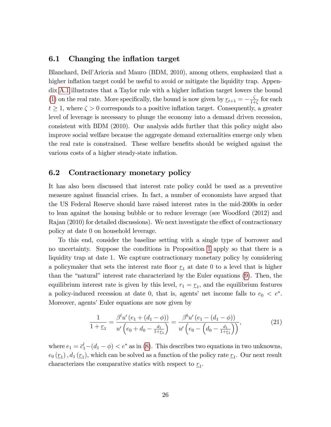#### <span id="page-27-0"></span>6.1 Changing the inflation target

Blanchard, DellíAriccia and Mauro (BDM, 2010), among others, emphasized that a higher inflation target could be useful to avoid or mitigate the liquidity trap. Appen-dix [A.1](#page-38-1) illustrates that a Taylor rule with a higher inflation target lowers the bound [\(1\)](#page-10-1) on the real rate. More specifically, the bound is now given by  $r_{t+1} = -\frac{\zeta}{1+\zeta}$  $\frac{\zeta}{1+\zeta}$  for each  $t \geq 1$ , where  $\zeta > 0$  corresponds to a positive inflation target. Consequently, a greater level of leverage is necessary to plunge the economy into a demand driven recession, consistent with BDM (2010). Our analysis adds further that this policy might also improve social welfare because the aggregate demand externalities emerge only when the real rate is constrained. These welfare benefits should be weighed against the various costs of a higher steady-state inflation.

### <span id="page-27-1"></span>6.2 Contractionary monetary policy

It has also been discussed that interest rate policy could be used as a preventive measure against Önancial crises. In fact, a number of economists have argued that the US Federal Reserve should have raised interest rates in the mid-2000s in order to lean against the housing bubble or to reduce leverage (see Woodford (2012) and  $Ra$  and  $(2010)$  for detailed discussions). We next investigate the effect of contractionary policy at date 0 on household leverage.

To this end, consider the baseline setting with a single type of borrower and no uncertainty. Suppose the conditions in Proposition [1](#page-16-2) apply so that there is a liquidity trap at date 1. We capture contractionary monetary policy by considering a policymaker that sets the interest rate floor  $r_1$  at date 0 to a level that is higher than the "natural" interest rate characterized by the Euler equations  $(9)$ . Then, the equilibrium interest rate is given by this level,  $r_1 = \underline{r}_1$ , and the equilibrium features a policy-induced recession at date 0, that is, agents' net income falls to  $e_0 < e^*$ . Moreover, agents' Euler equations are now given by

<span id="page-27-2"></span>
$$
\frac{1}{1+\underline{r}_1} = \frac{\beta^l u'(e_1 + (d_1 - \phi))}{u'\left(e_0 + d_0 - \frac{d_1}{1+\underline{r}_1}\right)} = \frac{\beta^b u'(e_1 - (d_1 - \phi))}{u'\left(e_0 - \left(d_0 - \frac{d_1}{1+\underline{r}_1}\right)\right)},\tag{21}
$$

where  $e_1 = \bar{c}_1^l - (d_1 - \phi) < e^*$  as in [\(8\)](#page-15-2). This describes two equations in two unknowns,  $e_0(\underline{r}_1)$ ,  $d_1(\underline{r}_1)$ , which can be solved as a function of the policy rate  $\underline{r}_1$ . Our next result characterizes the comparative statics with respect to  $\underline{r}_1$ .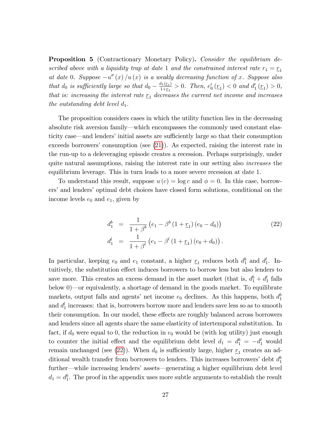<span id="page-28-1"></span>**Proposition 5** (Contractionary Monetary Policy). Consider the equilibrium described above with a liquidity trap at date 1 and the constrained interest rate  $r_1 = r_1$ at date 0. Suppose  $-u''(x)/u(x)$  is a weakly decreasing function of x. Suppose also that  $d_0$  is sufficiently large so that  $d_0 - \frac{d_1(r_1)}{1+r_1}$  $\frac{u_1(\underline{r}_1)}{1+\underline{r}_1} > 0$ . Then,  $e'_0(\underline{r}_1) < 0$  and  $d'_1(\underline{r}_1) > 0$ , that is: increasing the interest rate  $r_1$  decreases the current net income and increases the outstanding debt level  $d_1$ .

The proposition considers cases in which the utility function lies in the decreasing absolute risk aversion family—which encompasses the commonly used constant elasticity case—and lenders' initial assets are sufficiently large so that their consumption exceeds borrowers' consumption (see  $(21)$ ). As expected, raising the interest rate in the run-up to a deleveraging episode creates a recession. Perhaps surprisingly, under quite natural assumptions, raising the interest rate in our setting also *increases* the equilibrium leverage. This in turn leads to a more severe recession at date 1.

To understand this result, suppose  $u(c) = \log c$  and  $\phi = 0$ . In this case, borrowers' and lenders' optimal debt choices have closed form solutions, conditional on the income levels  $e_0$  and  $e_1$ , given by

<span id="page-28-0"></span>
$$
d_1^b = \frac{1}{1+\beta^b} \left( e_1 - \beta^b \left( 1 + \underline{r}_1 \right) \left( e_0 - d_0 \right) \right)
$$
\n
$$
d_1^l = \frac{1}{1+\beta^l} \left( e_1 - \beta^l \left( 1 + \underline{r}_1 \right) \left( e_0 + d_0 \right) \right).
$$
\n(22)

In particular, keeping  $e_0$  and  $e_1$  constant, a higher  $\underline{r}_1$  reduces both  $d_1^b$  and  $d_1^l$ . Intuitively, the substitution effect induces borrowers to borrow less but also lenders to save more. This creates an excess demand in the asset market (that is,  $d_1^b + d_1^l$  falls below  $0$ —or equivalently, a shortage of demand in the goods market. To equilibrate markets, output falls and agents' net income  $e_0$  declines. As this happens, both  $d_1^b$ and  $d_1^l$  increases: that is, borrowers borrow more and lenders save less so as to smooth their consumption. In our model, these effects are roughly balanced across borrowers and lenders since all agents share the same elasticity of intertemporal substitution. In fact, if  $d_0$  were equal to 0, the reduction in  $e_0$  would be (with log utility) just enough to counter the initial effect and the equilibrium debt level  $d_1 = d_1^b = -d_1^l$  would remain unchanged (see [\(22\)](#page-28-0)). When  $d_0$  is sufficiently large, higher  $r_1$  creates an additional wealth transfer from borrowers to lenders. This increases borrowers' debt  $d_1^b$ further—while increasing lenders' assets—generating a higher equilibrium debt level  $d_1 = d_1^b$ . The proof in the appendix uses more subtle arguments to establish the result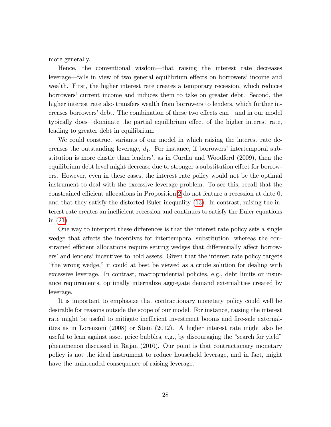more generally.

Hence, the conventional wisdom—that raising the interest rate decreases leverage—fails in view of two general equilibrium effects on borrowers' income and wealth. First, the higher interest rate creates a temporary recession, which reduces borrowersí current income and induces them to take on greater debt. Second, the higher interest rate also transfers wealth from borrowers to lenders, which further increases borrowers' debt. The combination of these two effects can—and in our model typically does—dominate the partial equilibrium effect of the higher interest rate, leading to greater debt in equilibrium.

We could construct variants of our model in which raising the interest rate decreases the outstanding leverage,  $d_1$ . For instance, if borrowers' intertemporal substitution is more elastic than lendersí, as in Curdia and Woodford (2009), then the equilibrium debt level might decrease due to stronger a substitution effect for borrowers. However, even in these cases, the interest rate policy would not be the optimal instrument to deal with the excessive leverage problem. To see this, recall that the constrained efficient allocations in Proposition [2](#page-19-0) do not feature a recession at date  $0$ , and that they satisfy the distorted Euler inequality [\(13\)](#page-20-0). In contrast, raising the interest rate creates an inefficient recession and continues to satisfy the Euler equations in [\(21\)](#page-27-2).

One way to interpret these differences is that the interest rate policy sets a single wedge that affects the incentives for intertemporal substitution, whereas the constrained efficient allocations require setting wedges that differentially affect borrowers' and lenders' incentives to hold assets. Given that the interest rate policy targets ìthe wrong wedge,î it could at best be viewed as a crude solution for dealing with excessive leverage. In contrast, macroprudential policies, e.g., debt limits or insurance requirements, optimally internalize aggregate demand externalities created by leverage.

It is important to emphasize that contractionary monetary policy could well be desirable for reasons outside the scope of our model. For instance, raising the interest rate might be useful to mitigate inefficient investment booms and fire-sale externalities as in Lorenzoni (2008) or Stein (2012). A higher interest rate might also be useful to lean against asset price bubbles, e.g., by discouraging the "search for yield" phenomenon discussed in Rajan (2010). Our point is that contractionary monetary policy is not the ideal instrument to reduce household leverage, and in fact, might have the unintended consequence of raising leverage.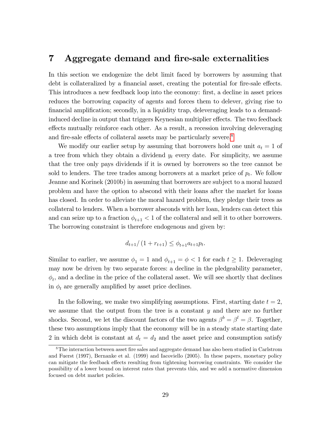### <span id="page-30-0"></span>7 Aggregate demand and fire-sale externalities

In this section we endogenize the debt limit faced by borrowers by assuming that debt is collateralized by a financial asset, creating the potential for fire-sale effects. This introduces a new feedback loop into the economy: first, a decline in asset prices reduces the borrowing capacity of agents and forces them to delever, giving rise to financial amplification; secondly, in a liquidity trap, deleveraging leads to a demandinduced decline in output that triggers Keynesian multiplier effects. The two feedback effects mutually reinforce each other. As a result, a recession involving deleveraging and fire-sale effects of collateral assets may be particularly severe.<sup>[8](#page-30-1)</sup>

We modify our earlier setup by assuming that borrowers hold one unit  $a_t = 1$  of a tree from which they obtain a dividend  $y_t$  every date. For simplicity, we assume that the tree only pays dividends if it is owned by borrowers so the tree cannot be sold to lenders. The tree trades among borrowers at a market price of  $p_t$ . We follow Jeanne and Korinek (2010b) in assuming that borrowers are subject to a moral hazard problem and have the option to abscond with their loans after the market for loans has closed. In order to alleviate the moral hazard problem, they pledge their trees as collateral to lenders. When a borrower absconds with her loan, lenders can detect this and can seize up to a fraction  $\phi_{t+1}$  < 1 of the collateral and sell it to other borrowers. The borrowing constraint is therefore endogenous and given by:

$$
d_{t+1}/(1+r_{t+1}) \leq \phi_{t+1}a_{t+1}p_t.
$$

Similar to earlier, we assume  $\phi_1 = 1$  and  $\phi_{t+1} = \phi < 1$  for each  $t \geq 1$ . Deleveraging may now be driven by two separate forces: a decline in the pledgeability parameter,  $\phi_t$ , and a decline in the price of the collateral asset. We will see shortly that declines in  $\phi_t$  are generally amplified by asset price declines.

In the following, we make two simplifying assumptions. First, starting date  $t = 2$ , we assume that the output from the tree is a constant  $y$  and there are no further shocks. Second, we let the discount factors of the two agents  $\beta^b = \beta^l = \beta$ . Together, these two assumptions imply that the economy will be in a steady state starting date 2 in which debt is constant at  $d_t = d_2$  and the asset price and consumption satisfy

<span id="page-30-1"></span> $8$ The interaction between asset fire sales and aggregate demand has also been studied in Carlstrom and Fuerst (1997), Bernanke et al. (1999) and Iacoviello (2005). In these papers, monetary policy can mitigate the feedback effects resulting from tightening borrowing constraints. We consider the possibility of a lower bound on interest rates that prevents this, and we add a normative dimension focused on debt market policies.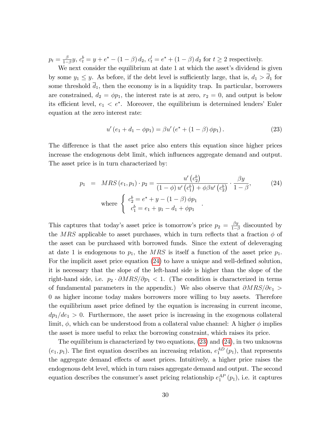$p_t = \frac{\beta}{1-\beta}$  $\frac{\beta}{1-\beta}y, c_t^b = y + e^* - (1-\beta) d_2, c_t^l = e^* + (1-\beta) d_2$  for  $t \ge 2$  respectively.

We next consider the equilibrium at date 1 at which the asset's dividend is given by some  $y_1 \leq y$ . As before, if the debt level is sufficiently large, that is,  $d_1 > \overline{d}_1$  for some threshold  $\overline{d}_1$ , then the economy is in a liquidity trap. In particular, borrowers are constrained,  $d_2 = \phi p_1$ , the interest rate is at zero,  $r_2 = 0$ , and output is below its efficient level,  $e_1 < e^*$ . Moreover, the equilibrium is determined lenders' Euler equation at the zero interest rate:

<span id="page-31-1"></span>
$$
u'(e_1 + d_1 - \phi p_1) = \beta u'(e^* + (1 - \beta)\phi p_1).
$$
 (23)

The difference is that the asset price also enters this equation since higher prices increase the endogenous debt limit, which ináuences aggregate demand and output. The asset price is in turn characterized by:

<span id="page-31-0"></span>
$$
p_1 = MRS(e_1, p_1) \cdot p_2 = \frac{u'(c_2^b)}{(1 - \phi) u'(c_1^b) + \phi \beta u'(c_2^b)} \cdot \frac{\beta y}{1 - \beta},
$$
\nwhere\n
$$
\begin{cases}\nc_2^b = e^* + y - (1 - \beta) \phi p_1 \\
c_1^b = e_1 + y_1 - d_1 + \phi p_1\n\end{cases}.
$$
\n(24)

This captures that today's asset price is tomorrow's price  $p_2 = \frac{\beta y}{1-t}$  $\frac{\beta y}{1-\beta}$  discounted by the MRS applicable to asset purchases, which in turn reflects that a fraction  $\phi$  of the asset can be purchased with borrowed funds. Since the extent of deleveraging at date 1 is endogenous to  $p_1$ , the MRS is itself a function of the asset price  $p_1$ . For the implicit asset price equation  $(24)$  to have a unique and well-defined solution, it is necessary that the slope of the left-hand side is higher than the slope of the right-hand side, i.e.  $p_2 \cdot \partial MRS/\partial p_1 < 1$ . (The condition is characterized in terms of fundamental parameters in the appendix.) We also observe that  $\partial MRS/\partial e_1$  > 0 as higher income today makes borrowers more willing to buy assets. Therefore the equilibrium asset price defined by the equation is increasing in current income,  $dp_1/de_1 > 0$ . Furthermore, the asset price is increasing in the exogenous collateral limit,  $\phi$ , which can be understood from a collateral value channel: A higher  $\phi$  implies the asset is more useful to relax the borrowing constraint, which raises its price.

The equilibrium is characterized by two equations, [\(23\)](#page-31-1) and [\(24\)](#page-31-0), in two unknowns  $(e_1, p_1)$ . The first equation describes an increasing relation,  $e_1^{AD}(p_1)$ , that represents the aggregate demand effects of asset prices. Intuitively, a higher price raises the endogenous debt level, which in turn raises aggregate demand and output. The second equation describes the consumer's asset pricing relationship  $e_1^{AP}(p_1)$ , i.e. it captures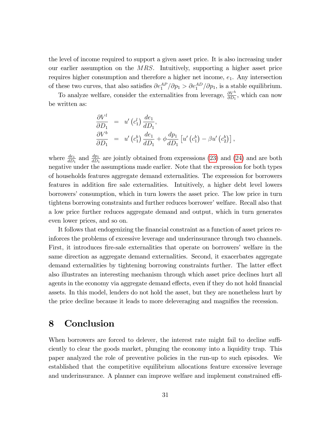the level of income required to support a given asset price. It is also increasing under our earlier assumption on the MRS. Intuitively, supporting a higher asset price requires higher consumption and therefore a higher net income,  $e_1$ . Any intersection of these two curves, that also satisfies  $\partial e_1^{AP}/\partial p_1 > \partial e_1^{AD}/\partial p_1$ , is a stable equilibrium.

To analyze welfare, consider the externalities from leverage,  $\frac{\partial V^h}{\partial D_1}$ , which can now be written as:

$$
\frac{\partial V^l}{\partial D_1} = u' (c_1^l) \frac{de_1}{dD_1},
$$
  
\n
$$
\frac{\partial V^b}{\partial D_1} = u' (c_1^b) \frac{de_1}{dD_1} + \phi \frac{dp_1}{dD_1} [u' (c_1^b) - \beta u' (c_2^b)],
$$

where  $\frac{de_1}{dD_1}$  and  $\frac{dp_1}{dD_1}$  are jointly obtained from expressions [\(23\)](#page-31-1) and [\(24\)](#page-31-0) and are both negative under the assumptions made earlier. Note that the expression for both types of households features aggregate demand externalities. The expression for borrowers features in addition Öre sale externalities. Intuitively, a higher debt level lowers borrowers' consumption, which in turn lowers the asset price. The low price in turn tightens borrowing constraints and further reduces borrower' welfare. Recall also that a low price further reduces aggregate demand and output, which in turn generates even lower prices, and so on.

It follows that endogenizing the financial constraint as a function of asset prices reinforces the problems of excessive leverage and underinsurance through two channels. First, it introduces fire-sale externalities that operate on borrowers' welfare in the same direction as aggregate demand externalities. Second, it exacerbates aggregate demand externalities by tightening borrowing constraints further. The latter effect also illustrates an interesting mechanism through which asset price declines hurt all agents in the economy via aggregate demand effects, even if they do not hold financial assets. In this model, lenders do not hold the asset, but they are nonetheless hurt by the price decline because it leads to more deleveraging and magnifies the recession.

### <span id="page-32-0"></span>8 Conclusion

When borrowers are forced to delever, the interest rate might fail to decline sufficiently to clear the goods market, plunging the economy into a liquidity trap. This paper analyzed the role of preventive policies in the run-up to such episodes. We established that the competitive equilibrium allocations feature excessive leverage and underinsurance. A planner can improve welfare and implement constrained effi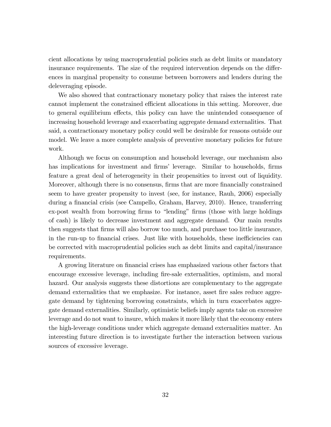cient allocations by using macroprudential policies such as debt limits or mandatory insurance requirements. The size of the required intervention depends on the differences in marginal propensity to consume between borrowers and lenders during the deleveraging episode.

We also showed that contractionary monetary policy that raises the interest rate cannot implement the constrained efficient allocations in this setting. Moreover, due to general equilibrium effects, this policy can have the unintended consequence of increasing household leverage and exacerbating aggregate demand externalities. That said, a contractionary monetary policy could well be desirable for reasons outside our model. We leave a more complete analysis of preventive monetary policies for future work.

Although we focus on consumption and household leverage, our mechanism also has implications for investment and firms' leverage. Similar to households, firms feature a great deal of heterogeneity in their propensities to invest out of liquidity. Moreover, although there is no consensus, firms that are more financially constrained seem to have greater propensity to invest (see, for instance, Rauh, 2006) especially during a financial crisis (see Campello, Graham, Harvey, 2010). Hence, transferring ex-post wealth from borrowing firms to "lending" firms (those with large holdings of cash) is likely to decrease investment and aggregate demand. Our main results then suggests that Örms will also borrow too much, and purchase too little insurance, in the run-up to financial crises. Just like with households, these inefficiencies can be corrected with macroprudential policies such as debt limits and capital/insurance requirements.

A growing literature on financial crises has emphasized various other factors that encourage excessive leverage, including Öre-sale externalities, optimism, and moral hazard. Our analysis suggests these distortions are complementary to the aggregate demand externalities that we emphasize. For instance, asset fire sales reduce aggregate demand by tightening borrowing constraints, which in turn exacerbates aggregate demand externalities. Similarly, optimistic beliefs imply agents take on excessive leverage and do not want to insure, which makes it more likely that the economy enters the high-leverage conditions under which aggregate demand externalities matter. An interesting future direction is to investigate further the interaction between various sources of excessive leverage.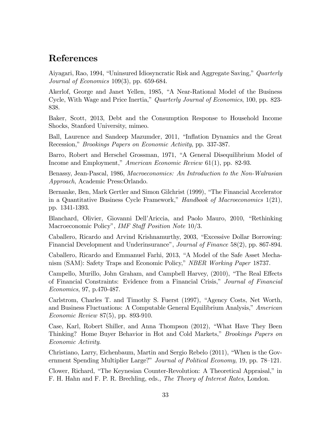### References

Aiyagari, Rao, 1994, "Uninsured Idiosyncratic Risk and Aggregate Saving," Quarterly Journal of Economics 109(3), pp. 659-684.

Akerlof, George and Janet Yellen, 1985, "A Near-Rational Model of the Business Cycle, With Wage and Price Inertia," Quarterly Journal of Economics, 100, pp. 823-838.

Baker, Scott, 2013, Debt and the Consumption Response to Household Income Shocks, Stanford University, mimeo.

Ball, Laurence and Sandeep Mazumder, 2011, "Inflation Dynamics and the Great Recession," *Brookings Papers on Economic Activity*, pp. 337-387.

Barro, Robert and Herschel Grossman, 1971, "A General Disequilibrium Model of Income and Employment," American Economic Review 61(1), pp. 82-93.

Benassy, Jean-Pascal, 1986, Macroeconomics: An Introduction to the Non-Walrasian Approach, Academic Press:Orlando.

Bernanke, Ben, Mark Gertler and Simon Gilchrist (1999), "The Financial Accelerator in a Quantitative Business Cycle Framework," Handbook of Macroeconomics  $1(21)$ , pp. 1341-1393.

Blanchard, Olivier, Giovanni Dell'Ariccia, and Paolo Mauro, 2010, "Rethinking Macroeconomic Policy", *IMF Staff Position Note* 10/3.

Caballero, Ricardo and Arvind Krishnamurthy, 2003, "Excessive Dollar Borrowing: Financial Development and Underinsurance", Journal of Finance 58(2), pp. 867-894.

Caballero, Ricardo and Emmanuel Farhi, 2013, "A Model of the Safe Asset Mechanism (SAM): Safety Traps and Economic Policy," NBER Working Paper 18737.

Campello, Murillo, John Graham, and Campbell Harvey, (2010), "The Real Effects of Financial Constraints: Evidence from a Financial Crisis," Journal of Financial Economics, 97, p.470-487.

Carlstrom, Charles T. and Timothy S. Fuerst (1997), "Agency Costs, Net Worth, and Business Fluctuations: A Computable General Equilibrium Analysis," American Economic Review 87(5), pp. 893-910.

Case, Karl, Robert Shiller, and Anna Thompson (2012), "What Have They Been Thinking? Home Buyer Behavior in Hot and Cold Markets," *Brookings Papers on* Economic Activity.

Christiano, Larry, Eichenbaum, Martin and Sergio Rebelo (2011), "When is the Government Spending Multiplier Large?" Journal of Political Economy, 19, pp. 78–121.

Clower, Richard, "The Keynesian Counter-Revolution: A Theoretical Appraisal," in F. H. Hahn and F. P. R. Brechling, eds., The Theory of Interest Rates, London.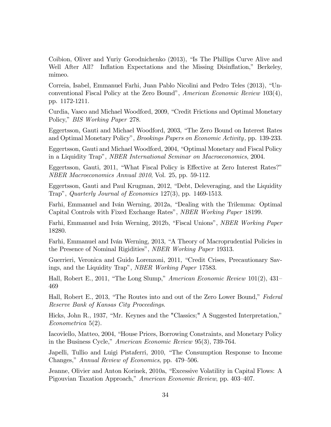Coibion, Oliver and Yuriy Gorodnichenko (2013), "Is The Phillips Curve Alive and Well After All? Inflation Expectations and the Missing Disinflation," Berkeley, mimeo.

Correia, Isabel, Emmanuel Farhi, Juan Pablo Nicolini and Pedro Teles (2013), "Unconventional Fiscal Policy at the Zero Bound", American Economic Review  $103(4)$ , pp. 1172-1211.

Curdia, Vasco and Michael Woodford, 2009, "Credit Frictions and Optimal Monetary Policy," BIS Working Paper 278.

Eggertsson, Gauti and Michael Woodford, 2003, "The Zero Bound on Interest Rates and Optimal Monetary Policy", *Brookings Papers on Economic Activity*, pp. 139-233.

Eggertsson, Gauti and Michael Woodford, 2004, "Optimal Monetary and Fiscal Policy in a Liquidity Trap", *NBER International Seminar on Macroeconomics*, 2004.

Eggertsson, Gauti, 2011, "What Fiscal Policy is Effective at Zero Interest Rates?" NBER Macroeconomics Annual 2010, Vol. 25, pp. 59-112.

Eggertsson, Gauti and Paul Krugman, 2012, "Debt, Deleveraging, and the Liquidity Trap", Quarterly Journal of Economics  $127(3)$ , pp. 1469-1513.

Farhi, Emmanuel and Iván Werning, 2012a, "Dealing with the Trilemma: Optimal Capital Controls with Fixed Exchange Rates", *NBER Working Paper* 18199.

Farhi, Emmanuel and Iván Werning, 2012b, "Fiscal Unions", *NBER Working Paper* 18280.

Farhi, Emmanuel and Iván Werning, 2013, "A Theory of Macroprudential Policies in the Presence of Nominal Rigidities", NBER Working Paper 19313.

Guerrieri, Veronica and Guido Lorenzoni, 2011, "Credit Crises, Precautionary Savings, and the Liquidity Trap", NBER Working Paper 17583.

Hall, Robert E., 2011, "The Long Slump," American Economic Review 101(2),  $431-$ 469

Hall, Robert E., 2013, "The Routes into and out of the Zero Lower Bound," Federal Reserve Bank of Kansas City Proceedings.

Hicks, John R., 1937, "Mr. Keynes and the "Classics;" A Suggested Interpretation," Econometrica 5(2).

Iacoviello, Matteo, 2004, "House Prices, Borrowing Constraints, and Monetary Policy in the Business Cycle," American Economic Review 95(3), 739-764.

Japelli, Tullio and Luigi Pistaferri, 2010, "The Consumption Response to Income Changes," Annual Review of Economics, pp. 479–506.

Jeanne, Olivier and Anton Korinek, 2010a, "Excessive Volatility in Capital Flows: A Pigouvian Taxation Approach," American Economic Review, pp. 403-407.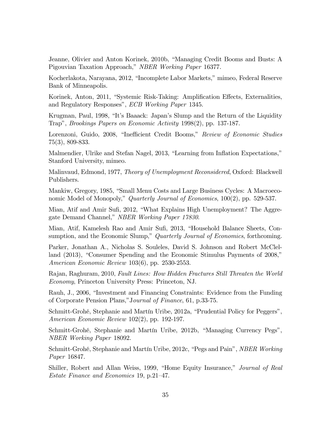Jeanne, Olivier and Anton Korinek, 2010b, "Managing Credit Booms and Busts: A Pigouvian Taxation Approach," NBER Working Paper 16377.

Kocherlakota, Narayana, 2012, "Incomplete Labor Markets," mimeo, Federal Reserve Bank of Minneapolis.

Korinek, Anton, 2011, "Systemic Risk-Taking: Amplification Effects, Externalities, and Regulatory Responses", ECB Working Paper 1345.

Krugman, Paul, 1998, "It's Baaack: Japan's Slump and the Return of the Liquidity Trapî, Brookings Papers on Economic Activity 1998(2), pp. 137-187.

Lorenzoni, Guido, 2008, "Inefficient Credit Booms," Review of Economic Studies 75(3), 809-833.

Malmendier, Ulrike and Stefan Nagel, 2013, "Learning from Inflation Expectations," Stanford University, mimeo.

Malinvaud, Edmond, 1977, Theory of Unemployment Reconsidered, Oxford: Blackwell Publishers.

Mankiw, Gregory, 1985, "Small Menu Costs and Large Business Cycles: A Macroeconomic Model of Monopoly," Quarterly Journal of Economics,  $100(2)$ , pp. 529-537.

Mian, Atif and Amir Sufi, 2012, "What Explains High Unemployment? The Aggregate Demand Channel," NBER Working Paper 17830.

Mian, Atif, Kamelesh Rao and Amir Sufi, 2013, "Household Balance Sheets, Consumption, and the Economic Slump," Quarterly Journal of Economics, forthcoming.

Parker, Jonathan A., Nicholas S. Souleles, David S. Johnson and Robert McClelland (2013), "Consumer Spending and the Economic Stimulus Payments of 2008," American Economic Review 103(6), pp. 2530-2553.

Rajan, Raghuram, 2010, Fault Lines: How Hidden Fractures Still Threaten the World Economy, Princeton University Press: Princeton, NJ.

Rauh, J., 2006, "Investment and Financing Constraints: Evidence from the Funding of Corporate Pension Plans,"Journal of Finance, 61, p.33-75.

Schmitt-Grohé, Stephanie and Martín Uribe, 2012a, "Prudential Policy for Peggers", American Economic Review 102(2), pp. 192-197.

Schmitt-Grohé, Stephanie and Martín Uribe, 2012b, "Managing Currency Pegs", NBER Working Paper 18092.

Schmitt-Grohé, Stephanie and Martín Uribe, 2012c, "Pegs and Pain", *NBER Working* Paper 16847.

Shiller, Robert and Allan Weiss, 1999, "Home Equity Insurance," *Journal of Real* Estate Finance and Economics 19, p.21–47.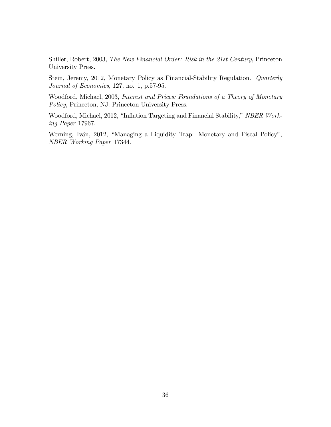Shiller, Robert, 2003, The New Financial Order: Risk in the 21st Century, Princeton University Press.

Stein, Jeremy, 2012, Monetary Policy as Financial-Stability Regulation. Quarterly Journal of Economics, 127, no. 1, p.57-95.

Woodford, Michael, 2003, Interest and Prices: Foundations of a Theory of Monetary Policy, Princeton, NJ: Princeton University Press.

Woodford, Michael, 2012, "Inflation Targeting and Financial Stability," NBER Working Paper 17967.

Werning, Iván, 2012, "Managing a Liquidity Trap: Monetary and Fiscal Policy", NBER Working Paper 17344.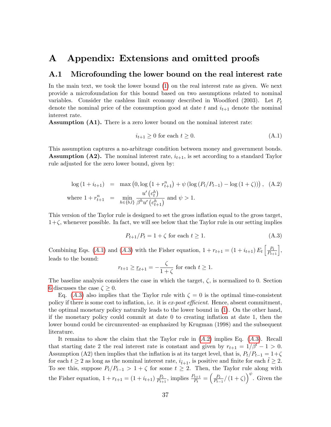### <span id="page-38-0"></span>A Appendix: Extensions and omitted proofs

#### <span id="page-38-1"></span>A.1 Microfounding the lower bound on the real interest rate

In the main text, we took the lower bound [\(1\)](#page-10-1) on the real interest rate as given. We next provide a microfoundation for this bound based on two assumptions related to nominal variables. Consider the cashless limit economy described in Woodford (2003). Let  $P_t$ denote the nominal price of the consumption good at date t and  $i_{t+1}$  denote the nominal interest rate.

Assumption (A1). There is a zero lower bound on the nominal interest rate:

<span id="page-38-2"></span>
$$
i_{t+1} \ge 0 \text{ for each } t \ge 0. \tag{A.1}
$$

This assumption captures a no-arbitrage condition between money and government bonds. **Assumption (A2).** The nominal interest rate,  $i_{t+1}$ , is set according to a standard Taylor rule adjusted for the zero lower bound, given by:

<span id="page-38-4"></span>
$$
\log (1 + i_{t+1}) = \max (0, \log (1 + r_{t+1}^n) + \psi (\log (P_t/P_{t-1}) - \log (1 + \zeta))) , \quad (A.2)
$$
  
where  $1 + r_{t+1}^n = \min_{h \in \{b, l\}} \frac{u'(c_t^h)}{\beta^h u'(c_{t+1}^h)}$  and  $\psi > 1$ .

This version of the Taylor rule is designed to set the gross inflation equal to the gross target,  $1+\zeta$ , whenever possible. In fact, we will see below that the Taylor rule in our setting implies

<span id="page-38-3"></span>
$$
P_{t+1}/P_t = 1 + \zeta \text{ for each } t \ge 1.
$$
\n(A.3)

Combining Eqs. (A.1) and (A.3) with the Fisher equation,  $1 + r_{t+1} = (1 + i_{t+1}) E_t \left[ \frac{P_t}{P_{t+1}} \right],$ leads to the bound:

$$
r_{t+1} \ge r_{t+1} = -\frac{\zeta}{1+\zeta}
$$
 for each  $t \ge 1$ .

The baseline analysis considers the case in which the target,  $\zeta$ , is normalized to 0. Section [6](#page-26-0) discusses the case  $\zeta > 0$ .

Eq. (A.3) also implies that the Taylor rule with  $\zeta = 0$  is the optimal time-consistent policy if there is some cost to inflation, i.e. it is ex-post efficient. Hence, absent commitment, the optimal monetary policy naturally leads to the lower bound in [\(1\)](#page-10-1). On the other hand, if the monetary policy could commit at date 0 to creating ináation at date 1, then the lower bound could be circumvented–as emphasized by Krugman (1998) and the subsequent literature.

It remains to show the claim that the Taylor rule in  $(A.2)$  implies Eq.  $(A.3)$ . Recall that starting date 2 the real interest rate is constant and given by  $r_{t+1} = 1/\beta^l - 1 > 0$ . Assumption (A2) then implies that the inflation is at its target level, that is,  $P_t/P_{t-1} = 1+\zeta$ for each  $t \geq 2$  as long as the nominal interest rate,  $i_{\tilde{t}+1}$ , is positive and finite for each  $\tilde{t} \geq 2$ . To see this, suppose  $P_t/P_{t-1} > 1 + \zeta$  for some  $t \geq 2$ . Then, the Taylor rule along with the Fisher equation,  $1 + r_{t+1} = (1 + i_{t+1}) \frac{P_t}{P_{t+1}}$  $\frac{P_t}{P_{t+1}}$ , implies  $\frac{P_{t+1}}{P_t} = \left(\frac{P_t}{P_{t-1}}\right)$  $\frac{P_t}{P_{t-1}} / (1+\zeta) \right)^{\psi}$ . Given the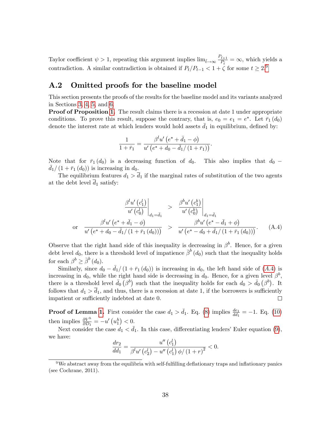Taylor coefficient  $\psi > 1$ , repeating this argument implies  $\lim_{\tilde{t}\to\infty} \frac{P_{\tilde{t}+1}}{P_{\tilde{t}}}$  $\frac{t+1}{P_{\tilde{t}}} = \infty$ , which yields a contradiction. A similar contradiction is obtained if  $P_t/P_{t-1} < 1 + \zeta$  for some  $t \geq 2.9$  $t \geq 2.9$ 

### <span id="page-39-0"></span>A.2 Omitted proofs for the baseline model

This section presents the proofs of the results for the baseline model and its variants analyzed in Sections [3,](#page-13-0) [4,](#page-16-0) [5,](#page-23-0) and [6.](#page-26-0)

**Proof of Proposition [1.](#page-16-2)** The result claims there is a recession at date 1 under appropriate conditions. To prove this result, suppose the contrary, that is,  $e_0 = e_1 = e^*$ . Let  $\bar{r}_1(d_0)$ denote the interest rate at which lenders would hold assets  $\bar{d}_1$  in equilibrium, defined by:

$$
\frac{1}{1+\bar{r}_1} = \frac{\beta^l u' (e^* + \bar{d}_1 - \phi)}{u' (e^* + d_0 - \bar{d}_1 / (1+\bar{r}_1))}.
$$

Note that for  $\bar{r}_1$  (d<sub>0</sub>) is a decreasing function of d<sub>0</sub>. This also implies that d<sub>0</sub> –  $d_1/(1 + \bar{r}_1 (d_0))$  is increasing in  $d_0$ .

The equilibrium features  $d_1 > \overline{d}_1$  if the marginal rates of substitution of the two agents at the debt level  $d_1$  satisfy:

<span id="page-39-2"></span>
$$
\frac{\beta^{l} u'(c_1^{l})}{u'(c_0^{l})}\Big|_{d_1 = \bar{d}_1} \ge \frac{\beta^{b} u'(c_1^{b})}{u'(c_0^{b})}\Big|_{d_1 = \bar{d}_1}
$$
\n
$$
\text{or} \quad \frac{\beta^{l} u'(e^* + \bar{d}_1 - \phi)}{u'(e^* + d_0 - \bar{d}_1/(1 + \bar{r}_1(d_0)))} \ge \frac{\beta^{b} u'(e^* - \bar{d}_1 + \phi)}{u'(e^* - d_0 + \bar{d}_1/(1 + \bar{r}_1(d_0)))}.\tag{A.4}
$$

Observe that the right hand side of this inequality is decreasing in  $\beta^b$ . Hence, for a given debt level  $d_0$ , there is a threshold level of impatience  $\bar{\beta}^b(d_0)$  such that the inequality holds for each  $\beta^b \geq \bar{\beta}^b(d_0)$ .

Similarly, since  $d_0 = \bar{d}_1/(1 + \bar{r}_1 (d_0))$  is increasing in  $d_0$ , the left hand side of (A.4) is increasing in  $d_0$ , while the right hand side is decreasing in  $d_0$ . Hence, for a given level  $\beta^b$ , there is a threshold level  $\bar{d}_0(\beta^b)$  such that the inequality holds for each  $d_0 > \bar{d}_0(\beta^b)$ . It follows that  $d_1 > \overline{d}_1$ , and thus, there is a recession at date 1, if the borrowers is sufficiently impatient or sufficiently indebted at date 0.  $\Box$ 

**Proof of Lemma [1.](#page-17-1)** First consider the case  $d_1 > \bar{d}_1$ . Eq. [\(8\)](#page-15-2) implies  $\frac{de_1}{dd_1} = -1$ . Eq. [\(10\)](#page-17-2) then implies  $\frac{\partial V^h}{\partial D_1} = -u' \left( u_1^h \right) < 0.$ 

Next consider the case  $d_1 < \bar{d}_1$ . In this case, differentiating lenders' Euler equation [\(9\)](#page-16-1), we have:

$$
\frac{dr_2}{dd_1} = \frac{u''(c_1')}{\beta^l u'(c_2') - u''(c_1') \phi/(1+r)^2} < 0.
$$

<span id="page-39-1"></span> $9$ We abstract away from the equilibria with self-fulfilling deflationary traps and inflationary panics (see Cochrane, 2011).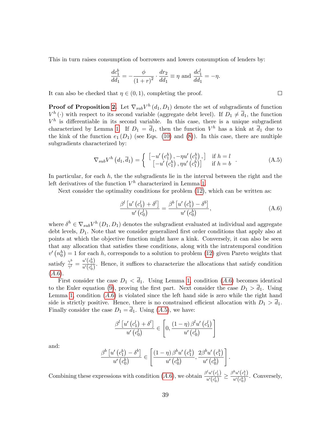This in turn raises consumption of borrowers and lowers consumption of lenders by:

$$
\frac{dc_1^b}{dd_1} = -\frac{\phi}{(1+r)^2} \cdot \frac{dr_2}{dd_1} \equiv \eta \text{ and } \frac{dc_1^l}{dd_1} = -\eta.
$$

It can also be checked that  $\eta \in (0, 1)$ , completing the proof.

**Proof of Proposition [2.](#page-19-0)** Let  $\nabla_{sub}V^h(d_1, D_1)$  denote the set of subgradients of function  $V^h(\cdot)$  with respect to its second variable (aggregate debt level). If  $D_1 \neq \overline{d}_1$ , the function  $V^h$  is differentiable in its second variable. In this case, there is a unique subgradient characterized by Lemma [1.](#page-17-1) If  $D_1 = \overline{d}_1$ , then the function  $V^h$  has a kink at  $\overline{d}_1$  due to the kink of the function  $e_1(D_1)$  (see Eqs. [\(10\)](#page-17-2) and [\(8\)](#page-15-2)). In this case, there are multiple subgradients characterized by:

<span id="page-40-1"></span>
$$
\nabla_{sub} V^h \left( d_1, \overline{d}_1 \right) = \begin{cases} \begin{bmatrix} -u' \left( c_1^h \right), -\eta u' \left( c_1^h \right), \\ \begin{bmatrix} -u' \left( c_1^h \right), \eta u' \left( c_1^h \right) \end{bmatrix} & \text{if } h = l \\ 0, & \text{if } h = b \end{bmatrix} \end{cases} \tag{A.5}
$$

In particular, for each  $h$ , the the subgradients lie in the interval between the right and the left derivatives of the function  $V^h$  characterized in Lemma [1.](#page-17-1)

Next consider the optimality conditions for problem [\(12\)](#page-19-2), which can be written as:

<span id="page-40-0"></span>
$$
\frac{\beta^{l}\left[u'\left(c_{1}^{l}\right)+\delta^{l}\right]}{u'\left(c_{0}^{l}\right)}=\frac{\beta^{b}\left[u'\left(c_{1}^{b}\right)-\delta^{b}\right]}{u'\left(c_{0}^{b}\right)},\tag{A.6}
$$

.

where  $\delta^h \in \nabla_{sub} V^h (D_1, D_1)$  denotes the subgradient evaluated at individual and aggregate debt levels,  $D_1$ . Note that we consider generalized first order conditions that apply also at points at which the objective function might have a kink. Conversely, it can also be seen that any allocation that satisfies these conditions, along with the intratemporal condition  $v' (n_0<sup>h</sup>) = 1$  for each h, corresponds to a solution to problem [\(12\)](#page-19-2) given Pareto weights that satisfy  $\frac{\gamma^b}{\gamma^l}$  $\frac{\gamma^b}{\gamma^l} = \frac{u'(c_0^b)}{u'(c_0^l)}$  $\frac{u(c_0)}{u'(c_0')}$ . Hence, it suffices to characterize the allocations that satisfy condition  $(A.6).$ 

First consider the case  $D_1 < \overline{d}_1$ . Using Lemma [1,](#page-17-1) condition (A.6) becomes identical to the Euler equation [\(9\)](#page-16-1), proving the first part. Next consider the case  $D_1 > \bar{d}_1$ . Using Lemma [1,](#page-17-1) condition  $(A.6)$  is violated since the left hand side is zero while the right hand side is strictly positive. Hence, there is no constrained efficient allocation with  $D_1 > \overline{d}_1$ . Finally consider the case  $D_1 = \overline{d}_1$ . Using  $(A.5)$ , we have:

$$
\frac{\beta^{l}\left[u'\left(c_{1}^{l}\right)+\delta^{l}\right]}{u'\left(c_{0}^{l}\right)} \in \left[0, \frac{\left(1-\eta\right)\beta^{l}u'\left(c_{1}^{l}\right)}{u'\left(c_{0}^{l}\right)}\right]
$$

and:

$$
\frac{\beta^{b}\left[u'\left(c_{1}^{b}\right)-\delta^{b}\right]}{u'\left(c_{0}^{b}\right)} \in \left[\frac{\left(1-\eta\right)\beta^{b} u'\left(c_{1}^{b}\right)}{u'\left(c_{0}^{b}\right)}, \frac{2\beta^{b} u'\left(c_{1}^{b}\right)}{u'\left(c_{0}^{b}\right)}\right]
$$

Combining these expressions with condition  $(A.6)$ , we obtain  $\frac{\beta^l u'(c_1^l)}{\gamma(c_1^l)}$  $\overline{u'(\overline{c_0'}^l)} \leq$  $\beta^b u'\big(c_1^b\big)$  $\frac{u(c_1)}{u'(c_0^b)}$ . Conversely,

 $\Box$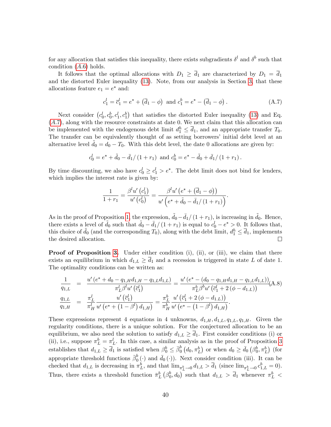for any allocation that satisfies this inequality, there exists subgradients  $\delta^l$  and  $\delta^b$  such that condition  $(A.6)$  holds.

It follows that the optimal allocations with  $D_1 \geq \overline{d}_1$  are characterized by  $D_1 = \overline{d}_1$ and the distorted Euler inequality [\(13\)](#page-20-0). Note, from our analysis in Section [3,](#page-13-0) that these allocations feature  $e_1 = e^*$  and:

<span id="page-41-0"></span>
$$
c_1^l = \overline{c}_1^l = e^* + (\overline{d}_1 - \phi)
$$
 and  $c_1^b = e^* - (\overline{d}_1 - \phi)$ . (A.7)

Next consider  $(c_0^l, c_0^b, c_1^l, c_1^b)$  that satisfies the distorted Euler inequality [\(13\)](#page-20-0) and Eq.  $(A.7)$ , along with the resource constraints at date 0. We next claim that this allocation can be implemented with the endogenous debt limit  $d_1^h \leq \overline{d}_1$ , and an appropriate transfer  $T_0$ . The transfer can be equivalently thought of as setting borrowers' initial debt level at an alternative level  $d_0 = d_0 - T_0$ . With this debt level, the date 0 allocations are given by:

$$
c_0^l = e^* + \tilde{d}_0 - \bar{d}_1/(1+r_1)
$$
 and  $c_0^b = e^* - \tilde{d}_0 + \bar{d}_1/(1+r_1)$ .

By time discounting, we also have  $c_0^l \geq c_1^l > e^*$ . The debt limit does not bind for lenders, which implies the interest rate is given by:

$$
\frac{1}{1+r_1} = \frac{\beta^l u' (c_1^l)}{u' (c_0^l)} = \frac{\beta^l u' (e^* + (\bar{d}_1 - \phi))}{u' (e^* + \tilde{d}_0 - \bar{d}_1 / (1+r_1))}.
$$

As in the proof of Proposition [1,](#page-16-2) the expression,  $\overline{d_0}-\overline{d_1}/(1 + r_1)$ , is increasing in  $\overline{d_0}$ . Hence, there exists a level of  $\tilde{d}_0$  such that  $\tilde{d}_0 - \bar{d}_1/(1 + r_1)$  is equal to  $c_0^l - e^* > 0$ . It follows that, this choice of  $\tilde{d}_0$  (and the corresponding  $T_0$ ), along with the debt limit,  $d_1^h \leq \overline{d}_1$ , implements the desired allocation.

**Proof of Proposition [3.](#page-24-1)** Under either condition  $(i)$ ,  $(ii)$ , or  $(iii)$ , we claim that there exists an equilibrium in which  $d_{1,L} \geq d_1$  and a recession is triggered in state L of date 1. The optimality conditions can be written as:

$$
\frac{1}{q_{1,L}} = \frac{u'(e^* + d_0 - q_{1,H}d_{1,H} - q_{1,L}d_{1,L})}{\pi_L^l \beta^l u'(c_1^l)} = \frac{u'(e^* - (d_0 - q_{1,H}d_{1,H} - q_{1,L}d_{1,L}))}{\pi_L^b \beta^b u'(c_1^l + 2(\phi - d_{1,L}))} (A.8)
$$
\n
$$
\frac{q_{1,L}}{q_{1,H}} = \frac{\pi_L^l}{\pi_H^l} \frac{u'(c_1^l)}{u'(e^* + (1 - \beta^l) d_{1,H})} = \frac{\pi_L^b}{\pi_H^b} \frac{u'(c_1^l + 2(\phi - d_{1,L}))}{u'(e^* - (1 - \beta^l) d_{1,H})}.
$$

These expressions represent 4 equations in 4 unknowns,  $d_{1,H}$ ,  $d_{1,L}$ ,  $q_{1,L}$ ,  $q_{1,H}$ . Given the regularity conditions, there is a unique solution. For the conjectured allocation to be an equilibrium, we also need the solution to satisfy  $d_{1,L} \geq \overline{d}_1$ . First consider conditions (i) or (ii), i.e., suppose  $\pi_L^b = \pi_L^l$ . In this case, a similar analysis as in the proof of Proposition [3](#page-24-1) establishes that  $d_{1,L} \geq \overline{d}_1$  is satisfied when  $\beta_0^b \leq \overline{\beta}_0^b$  $\overline{b}_0^b(d_0, \pi_L^b)$  or when  $d_0 \geq \overline{d}_0(\beta_0^b, \pi_L^b)$  (for appropriate threshold functions  $\bar{\beta}_0^b$  $\overline{0}^{b}$  (·) and  $\overline{d}_{0}$  (·)). Next consider condition (iii). It can be checked that  $d_{1,L}$  is decreasing in  $\pi^b_L$ , and that  $\lim_{\pi^b_L \to 0} d_{1,L} > \overline{d}_1$  (since  $\lim_{\pi^b_L \to 0} c^b_{1,L} = 0$ ). Thus, there exists a threshold function  $\bar{\pi}_L^b(\beta_0^b,d_0)$  such that  $d_{1,L} > \bar{d}_1$  whenever  $\pi_L^b$  <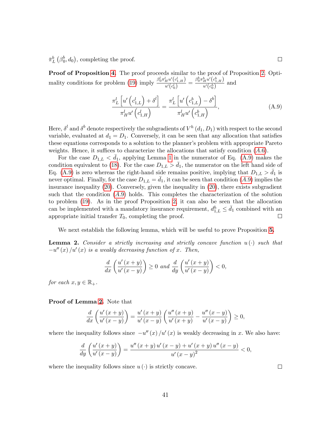$\bar{\pi}_{L}^{b}(\beta_{0}^{b},d_{0}),$  completing the proof.

**Proof of Proposition [4.](#page-25-1)** The proof proceeds similar to the proof of Proposition [2.](#page-19-0) Opti-mality conditions for problem [\(19\)](#page-25-2) imply  $\frac{\beta_0^l \pi_H^l u'(c_{1,H}^l)}{u'(d)}$  $\frac{ \frac{d_H}{d u' \left(c^l_{1, H}\right) }}{u' \left(c^l_{0}\right)} = \frac{\beta^b_0 \pi^b_H u' \left(c^b_{1, H}\right) }{u' \left(c^b_0\right)}$  $\frac{H^{a} (c_{1,H})}{u' (c_0^h)}$  and

<span id="page-42-0"></span>
$$
\frac{\pi_L^l \left[ u' \left( c_{1,L}^l \right) + \delta^l \right]}{\pi_H^l u' \left( c_{1,H}^l \right)} = \frac{\pi_L^l \left[ u' \left( c_{1,L}^b \right) - \delta^b \right]}{\pi_H^l u' \left( c_{1,H}^b \right)},\tag{A.9}
$$

Here,  $\delta^l$  and  $\delta^b$  denote respectively the subgradients of  $V^h$   $(d_1, D_1)$  with respect to the second variable, evaluated at  $d_1 = D_1$ . Conversely, it can be seen that any allocation that satisfies these equations corresponds to a solution to the planner's problem with appropriate Pareto weights. Hence, it suffices to characterize the allocations that satisfy condition  $(A.6)$ .

For the case  $D_{1,L} < d_1$ , applying Lemma [1](#page-17-1) in the numerator of Eq. [\(A.9\)](#page-42-0) makes the condition equivalent to [\(18\)](#page-24-0). For the case  $D_{1,L} > d_1$ , the numerator on the left hand side of Eq. [\(A.9\)](#page-42-0) is zero whereas the right-hand side remains positive, implying that  $D_{1,L} > d_1$  is never optimal. Finally, for the case  $D_{1,L} = d_1$ , it can be seen that condition  $(A.9)$  implies the insurance inequality [\(20\)](#page-25-0). Conversely, given the inequality in [\(20\)](#page-25-0), there exists subgradient such that the condition  $(A.9)$  holds. This completes the characterization of the solution to problem [\(19\)](#page-25-2). As in the proof Proposition [2,](#page-19-0) it can also be seen that the allocation can be implemented with a mandatory insurance requirement,  $d_{1,L}^h \leq \bar{d}_1$  combined with an appropriate initial transfer  $T_0$ , completing the proof.

We next establish the following lemma, which will be useful to prove Proposition [5.](#page-28-1)

<span id="page-42-1"></span>**Lemma 2.** Consider a strictly increasing and strictly concave function  $u(\cdot)$  such that  $-u''(x)/u'(x)$  is a weakly decreasing function of x. Then,

$$
\frac{d}{dx}\left(\frac{u'(x+y)}{u'(x-y)}\right) \ge 0 \text{ and } \frac{d}{dy}\left(\frac{u'(x+y)}{u'(x-y)}\right) < 0,
$$

for each  $x, y \in \mathbb{R}_+$ .

#### Proof of Lemma [2.](#page-42-1) Note that

$$
\frac{d}{dx}\left(\frac{u'(x+y)}{u'(x-y)}\right) = \frac{u'(x+y)}{u'(x-y)}\left(\frac{u''(x+y)}{u'(x+y)} - \frac{u''(x-y)}{u'(x-y)}\right) \ge 0,
$$

where the inequality follows since  $-u''(x)/u'(x)$  is weakly decreasing in x. We also have:

$$
\frac{d}{dy}\left(\frac{u'(x+y)}{u'(x-y)}\right) = \frac{u''(x+y) u'(x-y) + u'(x+y) u''(x-y)}{u'(x-y)^2} < 0,
$$

where the inequality follows since  $u(\cdot)$  is strictly concave.

 $\Box$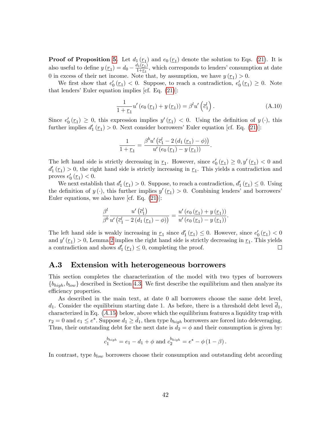**Proof of Proposition [5.](#page-28-1)** Let  $d_1(r_1)$  and  $e_0(r_1)$  denote the solution to Eqs. [\(21\)](#page-27-2). It is also useful to define  $y\left(\underline{r}_1\right) = d_0 - \frac{d_1(\underline{r}_1)}{1+\underline{r}_1}$  $\frac{I_1(\underline{r}_1)}{1+\underline{r}_1}$ , which corresponds to lenders' consumption at date 0 in excess of their net income. Note that, by assumption, we have  $y(\underline{r}_1) > 0$ .

We first show that  $e'_0(\underline{r}_1) < 0$ . Suppose, to reach a contradiction,  $e'_0(\underline{r}_1) \geq 0$ . Note that lenders' Euler equation implies [cf. Eq.  $(21)$ ]:

$$
\frac{1}{1+\underline{r}_1}u'(e_0(\underline{r}_1)+y(\underline{r}_1))=\beta^l u'\left(\overline{c}_1^l\right).
$$
\n(A.10)

Since  $e'_0(\underline{r}_1) \geq 0$ , this expression implies  $y'(\underline{r}_1) < 0$ . Using the definition of  $y(\cdot)$ , this further implies  $d'_1(\underline{r}_1) > 0$ . Next consider borrowers' Euler equation [cf. Eq. [\(21\)](#page-27-2)]:

$$
\frac{1}{1+\underline{r}_1} = \frac{\beta^{b} u' \left(\overline{c}_1^l - 2 (d_1 (\underline{r}_1) - \phi)\right)}{u' (e_0 (\underline{r}_1) - y (\underline{r}_1))}.
$$

The left hand side is strictly decreasing in  $\underline{r}_1$ . However, since  $e'_0(\underline{r}_1) \geq 0, y'(\underline{r}_1) < 0$  and  $d_1'(\underline{r}_1) > 0$ , the right hand side is strictly increasing in  $\underline{r}_1$ . This yields a contradiction and proves  $e'_0(\underline{r}_1) < 0$ .

We next establish that  $d'_1(\underline{r}_1) > 0$ . Suppose, to reach a contradiction,  $d'_1(\underline{r}_1) \leq 0$ . Using the definition of  $y(\cdot)$ , this further implies  $y'(r_1) > 0$ . Combining lenders' and borrowers' Euler equations, we also have [cf. Eq. [\(21\)](#page-27-2)]:

$$
\frac{\beta^l}{\beta^b} \frac{u'\left(\overline{c}_1^l\right)}{u'\left(\overline{c}_1^l - 2\left(d_1\left(\underline{r}_1\right) - \phi\right)\right)} = \frac{u'\left(e_0\left(\underline{r}_1\right) + y\left(\underline{r}_1\right)\right)}{u'\left(e_0\left(\underline{r}_1\right) - y\left(\underline{r}_1\right)\right)}.
$$

The left hand side is weakly increasing in  $\underline{r}_1$  since  $d'_1(\underline{r}_1) \leq 0$ . However, since  $e'_0(\underline{r}_1) < 0$ and  $y'(\underline{r}_1) > 0$ , Lemma [2](#page-42-1) implies the right hand side is strictly decreasing in  $\underline{r}_1$ . This yields a contradiction and shows  $d_1'(r_1) \leq 0$ , completing the proof. □

#### <span id="page-43-0"></span>A.3 Extension with heterogeneous borrowers

This section completes the characterization of the model with two types of borrowers  $\{b_{high}, b_{low}\}$  described in Section [4.3.](#page-21-0) We first describe the equilibrium and then analyze its efficiency properties.

As described in the main text, at date 0 all borrowers choose the same debt level,  $d_1$ . Consider the equilibrium starting date 1. As before, there is a threshold debt level  $d_1$ , characterized in Eq.  $(A.15)$  $(A.15)$  below, above which the equilibrium features a liquidity trap with  $r_2 = 0$  and  $e_1 \leq e^*$ . Suppose  $d_1 \geq \bar{d}_1$ , then type  $b_{high}$  borrowers are forced into deleveraging. Thus, their outstanding debt for the next date is  $d_2 = \phi$  and their consumption is given by:

$$
c_1^{b_{high}} = e_1 - d_1 + \phi
$$
 and  $c_2^{b_{high}} = e^* - \phi (1 - \beta)$ .

In contrast, type  $b_{low}$  borrowers choose their consumption and outstanding debt according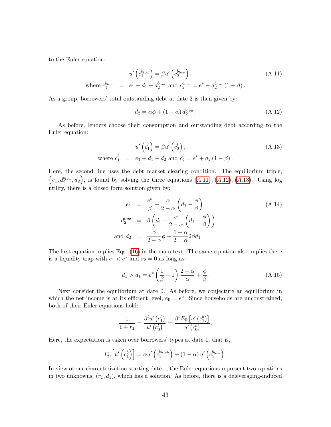to the Euler equation:

<span id="page-44-1"></span>
$$
u'\left(c_1^{b_{low}}\right) = \beta u'\left(c_2^{b_{low}}\right),
$$
  
where  $c_1^{b_{low}} = e_1 - d_1 + d_2^{b_{low}}$  and  $c_2^{b_{low}} = e^* - d_2^{b_{low}} \left(1 - \beta\right).$  (A.11)

As a group, borrowers' total outstanding debt at date 2 is then given by:

<span id="page-44-2"></span>
$$
d_2 = \alpha \phi + (1 - \alpha) d_2^{b_{low}}.
$$
\n(A.12)

As before, lenders choose their consumption and outstanding debt according to the Euler equation:

<span id="page-44-3"></span>where 
$$
c_1^l = e_1 + d_1 - d_2
$$
 and  $c_2^l = e^* + d_2 (1 - \beta)$ .  
\n(A.13)  
\nwhere  $c_1^l = e_1 + d_1 - d_2$  and  $c_2^l = e^* + d_2 (1 - \beta)$ .

Here, the second line uses the debt market clearing condition. The equilibrium triple,  $(e_1, d_2^{b_{low}}, d_2)$ , is found by solving the three equations  $(A.11)$  $(A.11)$ ,  $(A.12)$  $(A.12)$ ,  $(A.13)$  $(A.13)$ . Using log utility, there is a closed form solution given by:

$$
e_1 = \frac{e^*}{\beta} - \frac{\alpha}{2 - \alpha} \left( d_1 - \frac{\phi}{\beta} \right)
$$
  
\n
$$
d_2^{low} = \beta \left( d_1 + \frac{\alpha}{2 - \alpha} \left( d_1 - \frac{\phi}{\beta} \right) \right)
$$
  
\nand 
$$
d_2 = \frac{\alpha}{2 - \alpha} \phi + \frac{1 - \alpha}{2 = \alpha} 2\beta d_1
$$
 (A.14)

The first equation implies Eqs.  $(16)$  in the main text. The same equation also implies there is a liquidity trap with  $e_1 < e^*$  and  $r_2 = 0$  as long as:

<span id="page-44-0"></span>
$$
d_1 > \overline{d}_1 = e^* \left(\frac{1}{\beta} - 1\right) \frac{2 - \alpha}{\alpha} + \frac{\phi}{\beta}.
$$
 (A.15)

Next consider the equilibrium at date 0. As before, we conjecture an equilibrium in which the net income is at its efficient level,  $e_0 = e^*$ . Since households are unconstrained, both of their Euler equations hold:

$$
\frac{1}{1+r_1} = \frac{\beta^l u'\left(c_1^l\right)}{u'\left(c_0^l\right)} = \frac{\beta^b E_0\left[u'\left(c_1^b\right)\right]}{u'\left(c_0^b\right)}.
$$

Here, the expectation is taken over borrowers' types at date 1, that is,

$$
E_0\left[u'\left(c_1^b\right)\right] = \alpha u'\left(c_1^{b_{high}}\right) + (1-\alpha) u'\left(c_1^{b_{low}}\right).
$$

In view of our characterization starting date 1, the Euler equations represent two equations in two unknowns,  $(r_1, d_1)$ , which has a solution. As before, there is a deleveraging-induced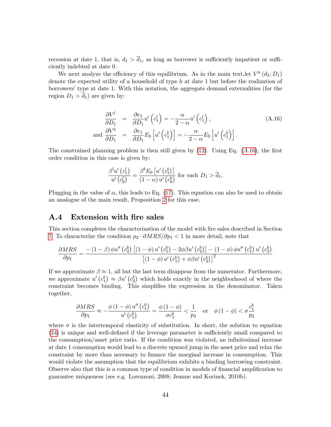recession at date 1, that is,  $d_1 > \overline{d}_1$ , as long as borrower is sufficiently impatient or sufficiently indebted at date 0.

We next analyze the efficiency of this equilibrium. As in the main text, let  $V^h(d_1; D_1)$ denote the expected utility of a household of type h at date 1 but before the realization of borrowers' type at date 1. With this notation, the aggregate demand externalities (for the region  $D_1 > d_1$ ) are given by:

<span id="page-45-1"></span>
$$
\frac{\partial V^l}{\partial D_1} = \frac{\partial e_1}{\partial D_1} u' \left( c_1^l \right) = -\frac{\alpha}{2 - \alpha} u' \left( c_1^l \right), \qquad (A.16)
$$
\n
$$
\text{and } \frac{\partial V^b}{\partial D_1} = \frac{\partial e_1}{\partial D_1} E_0 \left[ u' \left( c_1^b \right) \right] = -\frac{\alpha}{2 - \alpha} E_0 \left[ u' \left( c_1^b \right) \right].
$$

The constrained planning problem is then still given by  $(12)$ . Using Eq.  $(A.16)$  $(A.16)$ , the first order condition in this case is given by:

$$
\frac{\beta^l u'\left(c_1^l\right)}{u'\left(c_0^l\right)} = \frac{\beta^b E_0\left[u'\left(c_1^b\right)\right]}{\left(1-\alpha\right)u'\left(c_0^b\right)} \text{ for each } D_1 > \overline{d}_1.
$$

Plugging in the value of  $\alpha$ , this leads to Eq. [\(17\)](#page-22-1). This equation can also be used to obtain an analogue of the main result, Proposition [2](#page-19-0) for this case.

#### <span id="page-45-0"></span>A.4 Extension with fire sales

This section completes the characterization of the model with Öre sales described in Section [7.](#page-30-0) To characterize the condition  $p_2 \cdot \partial MRS/\partial p_1 < 1$  in more detail, note that

$$
\frac{\partial MRS}{\partial p_1} = \frac{-\left(1-\beta\right)\phi u''\left(c_2^b\right)\left[\left(1-\phi\right)u'\left(c_1^b\right) - 2\phi\beta u'\left(c_2^b\right)\right] - \left(1-\phi\right)\phi u''\left(c_1^b\right)u'\left(c_2^b\right)}{\left[\left(1-\phi\right)u'\left(c_1^b\right) + \phi\beta u'\left(c_2^b\right)\right]^2}
$$

If we approximate  $\beta \approx 1$ , all but the last term disappear from the numerator. Furthermore, we approximate  $u'(c_1^b) \approx \beta u'(c_2^b)$  which holds exactly in the neighborhood of where the constraint becomes binding. This simplifies the expression in the denominator. Taken together,

$$
\frac{\partial MRS}{\partial p_1} \approx -\frac{\phi\left(1-\phi\right)u''\left(c_1^b\right)}{u'\left(c_1^b\right)} = \frac{\phi\left(1-\phi\right)}{\sigma c_1^b} < \frac{1}{p_2} \quad \text{or} \quad \phi\left(1-\phi\right) < \sigma \frac{c_1^b}{p_2}
$$

where  $\sigma$  is the intertemporal elasticity of substitution. In short, the solution to equation  $(24)$  is unique and well-defined if the leverage parameter is sufficiently small compared to the consumption/asset price ratio. If the condition was violated, an infinitesimal increase at date 1 consumption would lead to a discrete upward jump in the asset price and relax the constraint by more than necessary to finance the marginal increase in consumption. This would violate the assumption that the equilibrium exhibits a binding borrowing constraint. Observe also that this is a common type of condition in models of financial amplification to guarantee uniqueness (see e.g. Lorenzoni, 2008; Jeanne and Korinek, 2010b).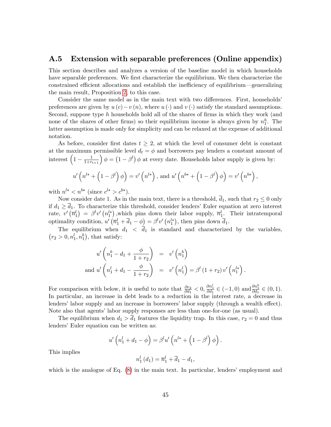### <span id="page-46-0"></span>A.5 Extension with separable preferences (Online appendix)

This section describes and analyzes a version of the baseline model in which households have separable preferences. We first characterize the equilibrium. We then characterize the constrained efficient allocations and establish the inefficiency of equilibrium—generalizing the main result, Proposition [2,](#page-19-0) to this case.

Consider the same model as in the main text with two differences. First, households preferences are given by  $u(c)-v(n)$ , where  $u(\cdot)$  and  $v(\cdot)$  satisfy the standard assumptions. Second, suppose type h households hold all of the shares of firms in which they work (and none of the shares of other firms) so their equilibrium income is always given by  $n_1^h$ . The latter assumption is made only for simplicity and can be relaxed at the expense of additional notation.

As before, consider first dates  $t \geq 2$ , at which the level of consumer debt is constant at the maximum permissible level  $d_t = \phi$  and borrowers pay lenders a constant amount of interest  $\left(1-\frac{1}{1+r_{t+1}}\right)\phi = \left(1-\beta^l\right)\phi$  at every date. Households labor supply is given by:

$$
u'\left(n^{l*}+\left(1-\beta^{l}\right)\phi\right)=v'\left(n^{l*}\right), \text{ and } u'\left(n^{b*}+\left(1-\beta^{l}\right)\phi\right)=v'\left(n^{b*}\right),\right
$$

with  $n^{l*} < n^{b*}$  (since  $c^{l*} > c^{b*}$ ).

Now consider date 1. As in the main text, there is a threshold,  $\overline{d}_1$ , such that  $r_2 \leq 0$  only if  $d_1 \geq \overline{d}_1$ . To characterize this threshold, consider lenders' Euler equation at zero interest rate,  $v'(\overline{n}_1^l) = \beta^l v' (n_1^{l*})$ , which pins down their labor supply,  $\overline{n}_1^l$ . Their intratemporal optimality condition,  $u'(\overline{n}_1^l + \overline{d}_1 - \phi) = \beta^l v' (n_1^{l*}),$  then pins down  $\overline{d}_1$ .

The equilibrium when  $d_1 < \overline{d_1}$  is standard and characterized by the variables,  $(r_2 > 0, n_1^l, n_1^b)$ , that satisfy:

$$
u'\left(n_1^b - d_1 + \frac{\phi}{1+r_2}\right) = v'\left(n_1^b\right)
$$
  
and 
$$
u'\left(n_1^l + d_1 - \frac{\phi}{1+r_2}\right) = v'\left(n_1^l\right) = \beta^l\left(1+r_2\right)v'\left(n_1^{l*}\right).
$$

For comparison with below, it is useful to note that  $\frac{\partial r_2}{\partial d_1} < 0$ ,  $\frac{\partial n_1^l}{\partial d_1} \in (-1,0)$  and  $\frac{\partial n_2^b}{\partial d_1} \in (0,1)$ . In particular, an increase in debt leads to a reduction in the interest rate, a decrease in lenders' labor supply and an increase in borrowers' labor supply (through a wealth effect). Note also that agents' labor supply responses are less than one-for-one (as usual).

The equilibrium when  $d_1 > d_1$  features the liquidity trap. In this case,  $r_2 = 0$  and thus lenders' Euler equation can be written as:

$$
u'\left(n_1^l + d_1 - \phi\right) = \beta^l u'\left(n^{l*} + \left(1 - \beta^l\right)\phi\right).
$$

This implies

$$
n_1^l(d_1) = \overline{n}_1^l + \overline{d}_1 - d_1,
$$

which is the analogue of Eq.  $(8)$  in the main text. In particular, lenders' employment and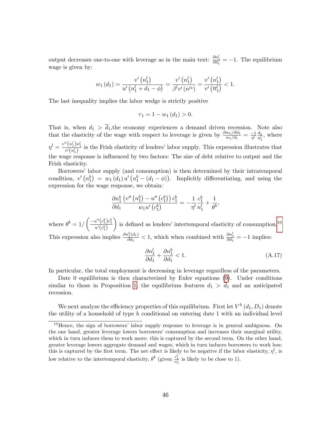output decreases one-to-one with leverage as in the main text:  $\frac{\partial n_1^l}{\partial d_1} = -1$ . The equilibrium wage is given by:

$$
w_1(d_1) = \frac{v'\left(n_1^l\right)}{u'\left(n_1^l + d_1 - \phi\right)} = \frac{v'\left(n_1^l\right)}{\beta^l v'\left(n^{l*}\right)} = \frac{v'\left(n_1^l\right)}{v'\left(\overline{n}_1^l\right)} < 1.
$$

The last inequality implies the labor wedge is strictly positive

$$
\tau_1 = 1 - w_1(d_1) > 0.
$$

That is, when  $d_1 > d_1$ , the economy experiences a demand driven recession. Note also that the elasticity of the wage with respect to leverage is given by  $\frac{\partial w_1/\partial d_1}{w_1/d_1} = \frac{-1}{\eta^l} \frac{d_1}{n_1^l}$  $\frac{a_1}{n_1^l}$ , where  $\eta^l=\frac{v''(n_1^l)n_1^l}{\omega'(n_1^l)}$  $\frac{\binom{n_1}{n_1}}{v'\binom{n_1^1}{n_1}}$  is the Frish elasticity of lenders' labor supply. This expression illustrates that the wage response is influenced by two factors: The size of debt relative to output and the Frish elasticity.

Borrowersílabor supply (and consumption) is then determined by their intratemporal condition,  $v'(n_1^b) = w_1(d_1) u'(n_1^b - (d_1 - \phi))$ . Implicitly differentiating, and using the expression for the wage response, we obtain:

$$
\frac{\partial n_1^b}{\partial d_1} \frac{\left(v''\left(n_1^b\right) - u''\left(c_1^b\right)\right) c_1^b}{w_1 u'\left(c_1^b\right)} = -\frac{1}{\eta^l} \frac{c_1^b}{n_1^l} + \frac{1}{\theta^b},
$$

where  $\theta^{b} = 1/\left(\frac{-u''(c_{1}^{b})c_{1}^{b}}{u'(c_{1}^{b})}\right)$ is defined as lenders' intertemporal elasticity of consumption.<sup>[10](#page-47-0)</sup> This expression also implies  $\frac{\partial n_1^b(d_1)}{\partial d_1}$  $\frac{\partial h_1^b(d_1)}{\partial d_1}$  < 1, which when combined with  $\frac{\partial n_1^l}{\partial d_1}$  = -1 implies:

<span id="page-47-1"></span>
$$
\frac{\partial n_1^l}{\partial d_1} + \frac{\partial n_1^b}{\partial d_1} < 1. \tag{A.17}
$$

In particular, the total employment is decreasing in leverage regardless of the parameters.

Date 0 equilibrium is then characterized by Euler equations [\(9\)](#page-16-1). Under conditions similar to those in Proposition [1](#page-16-2), the equilibrium features  $d_1 > \overline{d}_1$  and an anticipated recession.

We next analyze the efficiency properties of this equilibrium. First let  $V^h\left( d_1,D_1\right)$  denote the utility of a household of type  $h$  conditional on entering date 1 with an individual level

<span id="page-47-0"></span> $10$ Hence, the sign of borrowers' labor supply response to leverage is in general ambiguous. On the one hand, greater leverage lowers borrowers' consumption and increases their marginal utility, which in turn induces them to work more: this is captured by the second term. On the other hand, greater leverage lowers aggregate demand and wages, which in turn induces borrowers to work less: this is captured by the first term. The net effect is likely to be negative if the labor elasticity,  $\eta^l$ , is low relative to the intertemporal elasticity,  $\theta^b$  (given  $\frac{c_1^b}{n_1^l}$  is likely to be close to 1).